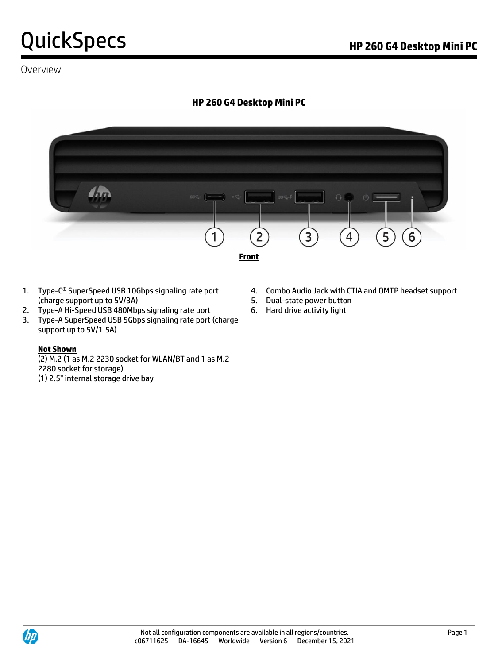### Overview

# **HP 260 G4 Desktop Mini PC**



- (charge support up to 5V/3A) 5. Dual-state power button
- 2. Type-A Hi-Speed USB 480Mbps signaling rate port 6. Hard drive activity light
- 3. Type-A SuperSpeed USB 5Gbps signaling rate port (charge support up to 5V/1.5A)

#### **Not Shown**

(2) M.2 (1 as M.2 2230 socket for WLAN/BT and 1 as M.2 2280 socket for storage) (1) 2.5" internal storage drive bay

- 1. Type-C<sup>®</sup> SuperSpeed USB 10Gbps signaling rate port 4. Combo Audio Jack with CTIA and OMTP headset support
	-
	-

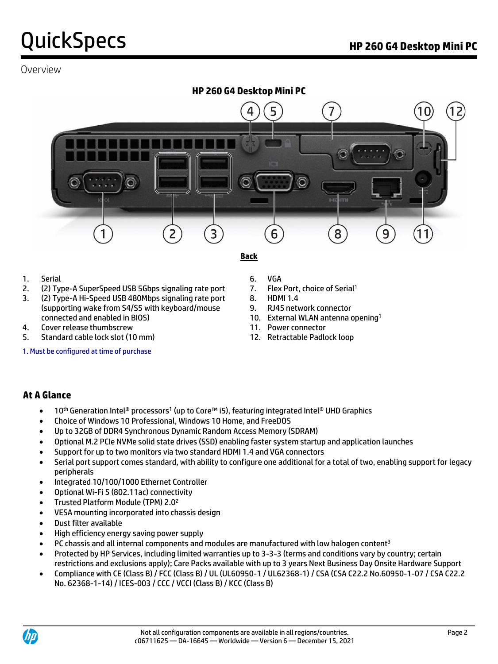### Overview



### 1. Serial 6. VGA

- 2. (2) Type-A SuperSpeed USB 5Gbps signaling rate port 7. Flex Port, choice of Serial<sup>1</sup>
- 3. (2) Type-A Hi-Speed USB 480Mbps signaling rate port 8. HDMI 1.4 (supporting wake from S4/S5 with keyboard/mouse 9. RJ45 network connector connected and enabled in BIOS) 10. External WLAN antenna opening<sup>1</sup>
- 4. Cover release thumbscrew 11. Power connector
- 5. Standard cable lock slot (10 mm) 12. Retractable Padlock loop

1. Must be configured at time of purchase

- 
- -
	-
	-
- 
- 
- 

### **At A Glance**

- 10<sup>th</sup> Generation Intel® processors<sup>1</sup> (up to Core™ i5), featuring integrated Intel® UHD Graphics
- Choice of Windows 10 Professional, Windows 10 Home, and FreeDOS
- Up to 32GB of DDR4 Synchronous Dynamic Random Access Memory (SDRAM)
- Optional M.2 PCIe NVMe solid state drives (SSD) enabling faster system startup and application launches
- Support for up to two monitors via two standard HDMI 1.4 and VGA connectors
- Serial port support comes standard, with ability to configure one additional for a total of two, enabling support for legacy peripherals
- Integrated 10/100/1000 Ethernet Controller
- Optional Wi-Fi 5 (802.11ac) connectivity
- Trusted Platform Module (TPM) 2.0<sup>2</sup>
- VESA mounting incorporated into chassis design
- Dust filter available
- High efficiency energy saving power supply
- PC chassis and all internal components and modules are manufactured with low halogen content<sup>3</sup>
- Protected by HP Services, including limited warranties up to 3-3-3 (terms and conditions vary by country; certain restrictions and exclusions apply); Care Packs available with up to 3 years Next Business Day Onsite Hardware Support
- Compliance with CE (Class B) / FCC (Class B) / UL (UL60950-1 / UL62368-1) / CSA (CSA C22.2 No.60950-1-07 / CSA C22.2 No. 62368-1-14) / ICES-003 / CCC / VCCI (Class B) / KCC (Class B)

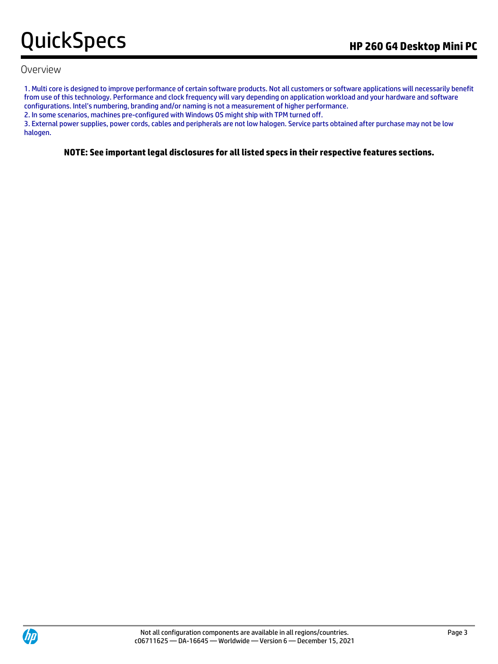### Overview

1. Multi core is designed to improve performance of certain software products. Not all customers or software applications will necessarily benefit from use of this technology. Performance and clock frequency will vary depending on application workload and your hardware and software configurations. Intel's numbering, branding and/or naming is not a measurement of higher performance.

2. In some scenarios, machines pre-configured with Windows OS might ship with TPM turned off.

3. External power supplies, power cords, cables and peripherals are not low halogen. Service parts obtained after purchase may not be low halogen.

**NOTE: See important legal disclosures for all listed specs in their respective features sections.**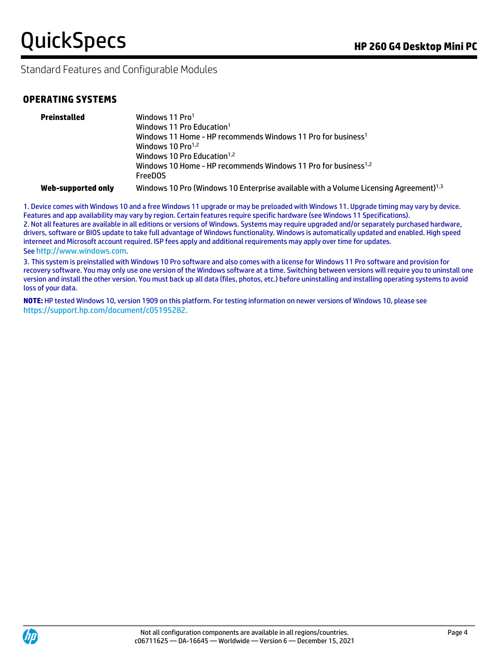Standard Features and Configurable Modules

### **OPERATING SYSTEMS**

| Preinstalled       | Windows 11 Pro <sup>1</sup><br>Windows 11 Pro Education <sup>1</sup><br>Windows 11 Home - HP recommends Windows 11 Pro for business <sup>1</sup><br>Windows 10 $Pro1,2$<br>Windows 10 Pro Education <sup>1,2</sup><br>Windows 10 Home - HP recommends Windows 11 Pro for business <sup>1,2</sup> |
|--------------------|--------------------------------------------------------------------------------------------------------------------------------------------------------------------------------------------------------------------------------------------------------------------------------------------------|
|                    | <b>FreeDOS</b>                                                                                                                                                                                                                                                                                   |
| Web-supported only | Windows 10 Pro (Windows 10 Enterprise available with a Volume Licensing Agreement) <sup>1,3</sup>                                                                                                                                                                                                |

1. Device comes with Windows 10 and a free Windows 11 upgrade or may be preloaded with Windows 11. Upgrade timing may vary by device. Features and app availability may vary by region. Certain features require specific hardware (see Windows 11 Specifications). 2. Not all features are available in all editions or versions of Windows. Systems may require upgraded and/or separately purchased hardware, drivers, software or BIOS update to take full advantage of Windows functionality. Windows is automatically updated and enabled. High speed interneet and Microsoft account required. ISP fees apply and additional requirements may apply over time for updates. See [http://www.windows.com](http://www.windows.com/).

3. This system is preinstalled with Windows 10 Pro software and also comes with a license for Windows 11 Pro software and provision for recovery software. You may only use one version of the Windows software at a time. Switching between versions will require you to uninstall one version and install the other version. You must back up all data (files, photos, etc.) before uninstalling and installing operating systems to avoid loss of your data.

**NOTE:** HP tested Windows 10, version 1909 on this platform. For testing information on newer versions of Windows 10, please see [https://support.hp.com/document/c05195282.](https://support.hp.com/document/c05195282)

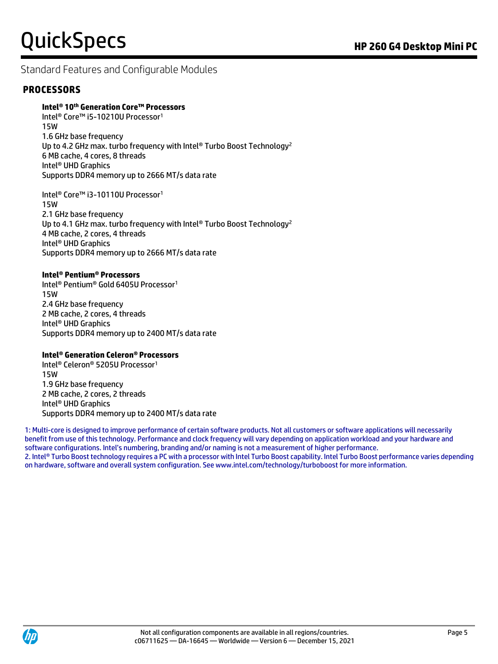# Standard Features and Configurable Modules

### **PROCESSORS**

### **Intel® 10th Generation Core™ Processors**

Intel<sup>®</sup> Core™ i5-10210U Processor<sup>1</sup> 15W 1.6 GHz base frequency Up to 4.2 GHz max. turbo frequency with Intel® Turbo Boost Technology<sup>2</sup> 6 MB cache, 4 cores, 8 threads Intel® UHD Graphics Supports DDR4 memory up to 2666 MT/s data rate

Intel<sup>®</sup> Core™ i3-10110U Processor<sup>1</sup> 15W 2.1 GHz base frequency Up to 4.1 GHz max. turbo frequency with Intel® Turbo Boost Technology<sup>2</sup> 4 MB cache, 2 cores, 4 threads Intel® UHD Graphics Supports DDR4 memory up to 2666 MT/s data rate

#### **Intel® Pentium® Processors**

Intel® Pentium® Gold 6405U Processor<sup>1</sup> 15W 2.4 GHz base frequency 2 MB cache, 2 cores, 4 threads Intel® UHD Graphics Supports DDR4 memory up to 2400 MT/s data rate

#### **Intel® Generation Celeron® Processors**

Intel® Celeron® 5205U Processor<sup>1</sup> 15W 1.9 GHz base frequency 2 MB cache, 2 cores, 2 threads Intel® UHD Graphics Supports DDR4 memory up to 2400 MT/s data rate

1: Multi-core is designed to improve performance of certain software products. Not all customers or software applications will necessarily benefit from use of this technology. Performance and clock frequency will vary depending on application workload and your hardware and software configurations. Intel's numbering, branding and/or naming is not a measurement of higher performance. 2. Intel® Turbo Boost technology requires a PC with a processor with Intel Turbo Boost capability. Intel Turbo Boost performance varies depending on hardware, software and overall system configuration. See www.intel.com/technology/turboboost for more information.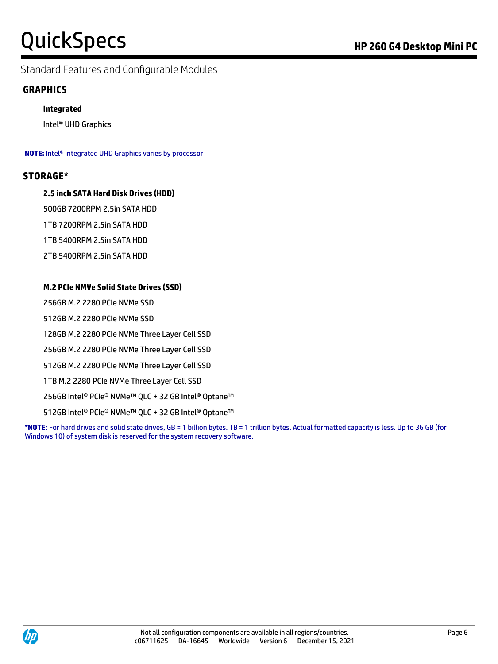Standard Features and Configurable Modules

### **GRAPHICS**

### **Integrated**

Intel® UHD Graphics

**NOTE:** Intel® integrated UHD Graphics varies by processor

### **STORAGE\***

### **2.5 inch SATA Hard Disk Drives (HDD)**

500GB 7200RPM 2.5in SATA HDD

1TB 7200RPM 2.5in SATA HDD

1TB 5400RPM 2.5in SATA HDD

2TB 5400RPM 2.5in SATA HDD

### **M.2 PCIe NMVe Solid State Drives (SSD)**

256GB M.2 2280 PCIe NVMe SSD

512GB M.2 2280 PCIe NVMe SSD

128GB M.2 2280 PCIe NVMe Three Layer Cell SSD

256GB M.2 2280 PCIe NVMe Three Layer Cell SSD

512GB M.2 2280 PCIe NVMe Three Layer Cell SSD

1TB M.2 2280 PCIe NVMe Three Layer Cell SSD

256GB Intel® PCIe® NVMe™ QLC + 32 GB Intel® Optane™

512GB Intel® PCIe® NVMe™ QLC + 32 GB Intel® Optane™

**\*NOTE:** For hard drives and solid state drives, GB = 1 billion bytes. TB = 1 trillion bytes. Actual formatted capacity is less. Up to 36 GB (for Windows 10) of system disk is reserved for the system recovery software.

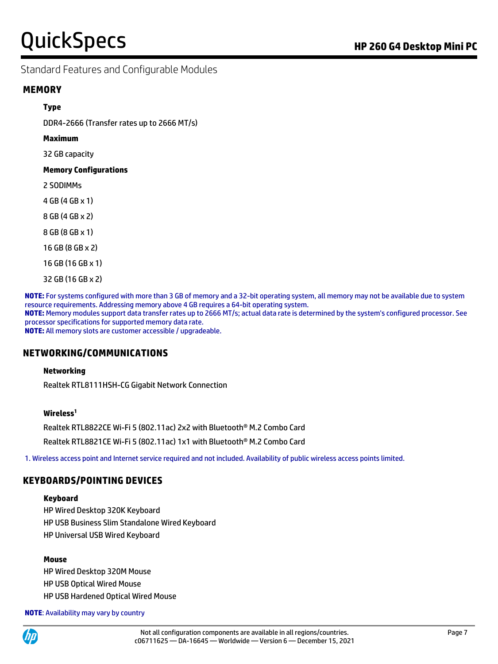### Standard Features and Configurable Modules

### **MEMORY**

#### **Type**

DDR4-2666 (Transfer rates up to 2666 MT/s)

**Maximum**

32 GB capacity

#### **Memory Configurations**

2 SODIMMs

4 GB (4 GB x 1)

8 GB (4 GB x 2)

8 GB (8 GB x 1)

16 GB (8 GB x 2)

16 GB (16 GB x 1)

32 GB (16 GB x 2)

**NOTE:** For systems configured with more than 3 GB of memory and a 32-bit operating system, all memory may not be available due to system resource requirements. Addressing memory above 4 GB requires a 64-bit operating system. **NOTE:** Memory modules support data transfer rates up to 2666 MT/s; actual data rate is determined by the system's configured processor. See processor specifications for supported memory data rate. **NOTE:** All memory slots are customer accessible / upgradeable.

### **NETWORKING/COMMUNICATIONS**

#### **Networking**

Realtek RTL8111HSH-CG Gigabit Network Connection

#### **Wireless<sup>1</sup>**

Realtek RTL8822CE Wi-Fi 5 (802.11ac) 2x2 with Bluetooth® M.2 Combo Card

Realtek RTL8821CE Wi-Fi 5 (802.11ac) 1x1 with Bluetooth® M.2 Combo Card

1. Wireless access point and Internet service required and not included. Availability of public wireless access points limited.

### **KEYBOARDS/POINTING DEVICES**

#### **Keyboard**

HP Wired Desktop 320K Keyboard HP USB Business Slim Standalone Wired Keyboard HP Universal USB Wired Keyboard

#### **Mouse**

HP Wired Desktop 320M Mouse HP USB Optical Wired Mouse HP USB Hardened Optical Wired Mouse

**NOTE**: Availability may vary by country

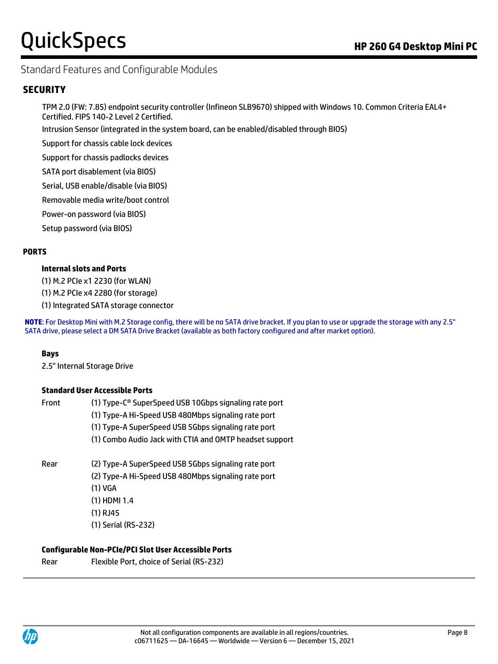# Standard Features and Configurable Modules

### **SECURITY**

TPM 2.0 (FW: 7.85) endpoint security controller (Infineon SLB9670) shipped with Windows 10. Common Criteria EAL4+ Certified. FIPS 140-2 Level 2 Certified.

Intrusion Sensor (integrated in the system board, can be enabled/disabled through BIOS)

Support for chassis cable lock devices

Support for chassis padlocks devices

SATA port disablement (via BIOS)

Serial, USB enable/disable (via BIOS)

Removable media write/boot control

Power-on password (via BIOS)

Setup password (via BIOS)

### **PORTS**

#### **Internal slots and Ports**

(1) M.2 PCIe x1 2230 (for WLAN)

(1) M.2 PCIe x4 2280 (for storage)

(1) Integrated SATA storage connector

**NOTE**: For Desktop Mini with M.2 Storage config, there will be no SATA drive bracket. If you plan to use or upgrade the storage with any 2.5" SATA drive, please select a DM SATA Drive Bracket (available as both factory configured and after market option).

#### **Bays**

2.5" Internal Storage Drive

#### **Standard User Accessible Ports**

| Front | (1) Type-C <sup>®</sup> SuperSpeed USB 10Gbps signaling rate port |
|-------|-------------------------------------------------------------------|
|       | (1) Type-A Hi-Speed USB 480Mbps signaling rate port               |
|       | (1) Type-A SuperSpeed USB 5Gbps signaling rate port               |
|       | (1) Combo Audio Jack with CTIA and OMTP headset support           |
| Rear  | (2) Type-A SuperSpeed USB 5Gbps signaling rate port               |
|       | (2) Type-A Hi-Speed USB 480Mbps signaling rate port               |
|       | $(1)$ VGA                                                         |
|       | $(1)$ HDMI 1.4                                                    |
|       | (1) RJ45                                                          |
|       | (1) Serial (RS-232)                                               |
|       |                                                                   |

#### **Configurable Non-PCIe/PCI Slot User Accessible Ports**

| Rear | Flexible Port, choice of Serial (RS-232) |
|------|------------------------------------------|
|------|------------------------------------------|

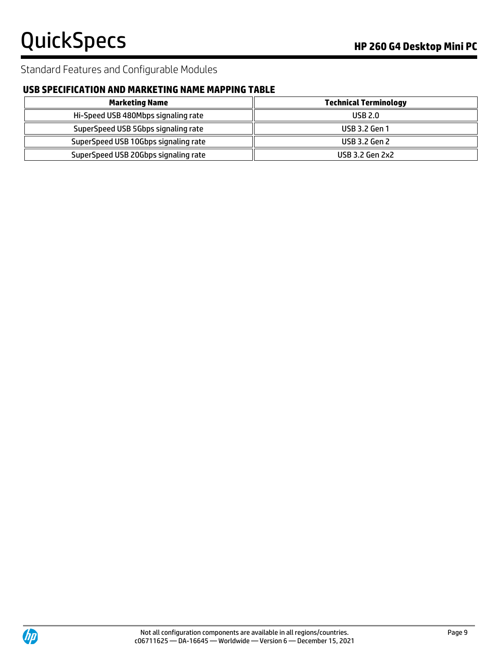# Standard Features and Configurable Modules

# **USB SPECIFICATION AND MARKETING NAME MAPPING TABLE**

| <b>Marketing Name</b>                | <b>Technical Terminology</b> |
|--------------------------------------|------------------------------|
| Hi-Speed USB 480Mbps signaling rate  | <b>USB 2.0</b>               |
| SuperSpeed USB 5Gbps signaling rate  | USB 3.2 Gen 1                |
| SuperSpeed USB 10Gbps signaling rate | <b>USB 3.2 Gen 2</b>         |
| SuperSpeed USB 20Gbps signaling rate | USB 3.2 Gen 2x2              |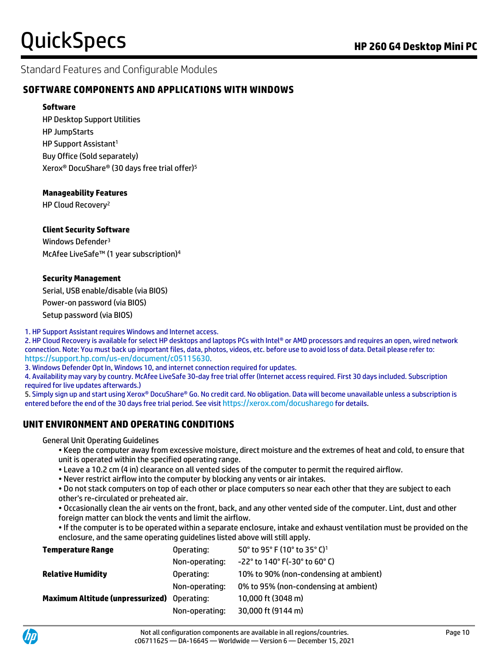### Standard Features and Configurable Modules

### **SOFTWARE COMPONENTS AND APPLICATIONS WITH WINDOWS**

#### **Software**

HP Desktop Support Utilities HP JumpStarts HP Support Assistant<sup>1</sup> Buy Office (Sold separately) Xerox® DocuShare® (30 days free trial offer)<sup>5</sup>

### **Manageability Features**

HP Cloud Recovery<sup>2</sup>

### **Client Security Software**

Windows Defender<sup>3</sup> McAfee LiveSafe™ (1 year subscription)<sup>4</sup>

#### **Security Management**

Serial, USB enable/disable (via BIOS) Power-on password (via BIOS) Setup password (via BIOS)

1. HP Support Assistant requires Windows and Internet access.

2. HP Cloud Recovery is available for select HP desktops and laptops PCs with Intel® or AMD processors and requires an open, wired network connection. Note: You must back up important files, data, photos, videos, etc. before use to avoid loss of data. Detail please refer to: <https://support.hp.com/us-en/document/c05115630>.

3. Windows Defender Opt In, Windows 10, and internet connection required for updates.

4. Availability may vary by country. McAfee LiveSafe 30-day free trial offer (Internet access required. First 30 days included. Subscription required for live updates afterwards.)

5. Simply sign up and start using Xerox® DocuShare® Go. No credit card. No obligation. Data will become unavailable unless a subscription is entered before the end of the 30 days free trial period. See visit <https://xerox.com/docusharego> for details.

### **UNIT ENVIRONMENT AND OPERATING CONDITIONS**

General Unit Operating Guidelines

• Keep the computer away from excessive moisture, direct moisture and the extremes of heat and cold, to ensure that unit is operated within the specified operating range.

• Leave a 10.2 cm (4 in) clearance on all vented sides of the computer to permit the required airflow.

• Never restrict airflow into the computer by blocking any vents or air intakes.

• Do not stack computers on top of each other or place computers so near each other that they are subject to each other's re-circulated or preheated air.

• Occasionally clean the air vents on the front, back, and any other vented side of the computer. Lint, dust and other foreign matter can block the vents and limit the airflow.

• If the computer is to be operated within a separate enclosure, intake and exhaust ventilation must be provided on the enclosure, and the same operating guidelines listed above will still apply.

| <b>Temperature Range</b>                           | Operating:     | 50° to 95° F (10° to 35° C) <sup>1</sup> |
|----------------------------------------------------|----------------|------------------------------------------|
|                                                    | Non-operating: | $-22^{\circ}$ to 140° F(-30° to 60° C)   |
| <b>Relative Humidity</b>                           | Operating:     | 10% to 90% (non-condensing at ambient)   |
|                                                    | Non-operating: | 0% to 95% (non-condensing at ambient)    |
| <b>Maximum Altitude (unpressurized)</b> Operating: |                | 10,000 ft (3048 m)                       |
|                                                    | Non-operating: | 30,000 ft (9144 m)                       |
|                                                    |                |                                          |

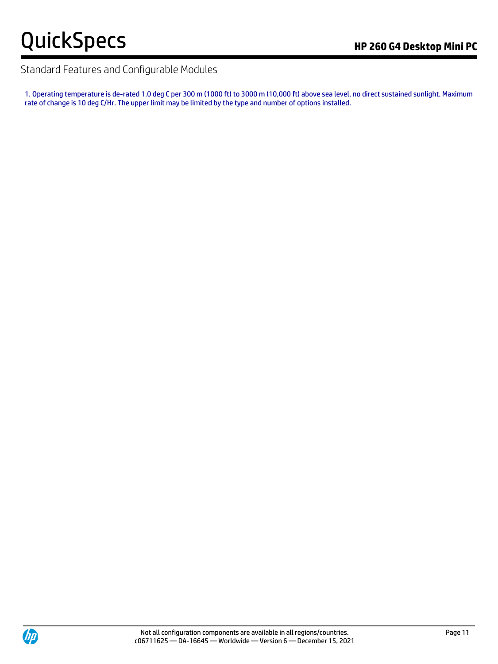# Standard Features and Configurable Modules

1. Operating temperature is de-rated 1.0 deg C per 300 m (1000 ft) to 3000 m (10,000 ft) above sea level, no direct sustained sunlight. Maximum rate of change is 10 deg C/Hr. The upper limit may be limited by the type and number of options installed.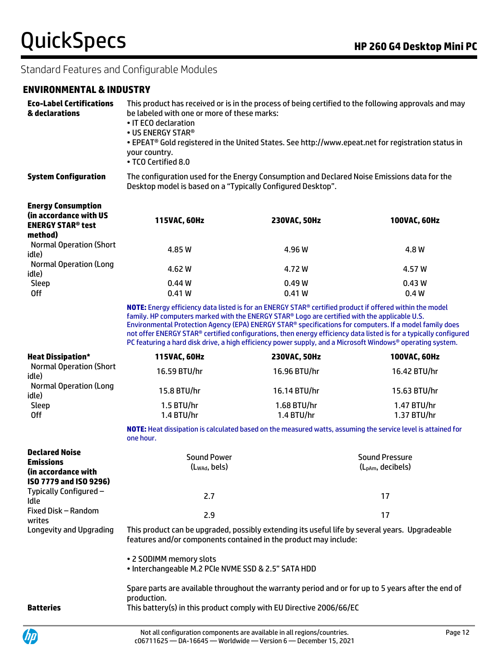# Standard Features and Configurable Modules

### **ENVIRONMENTAL & INDUSTRY**

| <b>Eco-Label Certifications</b><br>& declarations                                          | This product has received or is in the process of being certified to the following approvals and may<br>be labeled with one or more of these marks:<br>• IT ECO declaration<br>• US ENERGY STAR®<br>• EPEAT® Gold registered in the United States. See http://www.epeat.net for registration status in<br>your country.<br>• TCO Certified 8.0                                                                                                                                                                                                          |                             |                                                |  |
|--------------------------------------------------------------------------------------------|---------------------------------------------------------------------------------------------------------------------------------------------------------------------------------------------------------------------------------------------------------------------------------------------------------------------------------------------------------------------------------------------------------------------------------------------------------------------------------------------------------------------------------------------------------|-----------------------------|------------------------------------------------|--|
| <b>System Configuration</b>                                                                | The configuration used for the Energy Consumption and Declared Noise Emissions data for the<br>Desktop model is based on a "Typically Configured Desktop".                                                                                                                                                                                                                                                                                                                                                                                              |                             |                                                |  |
| <b>Energy Consumption</b><br>(in accordance with US<br><b>ENERGY STAR® test</b><br>method) | 115VAC, 60Hz                                                                                                                                                                                                                                                                                                                                                                                                                                                                                                                                            | 230VAC, 50Hz                | 100VAC, 60Hz                                   |  |
| <b>Normal Operation (Short</b><br>idle)                                                    | 4.85 W                                                                                                                                                                                                                                                                                                                                                                                                                                                                                                                                                  | 4.96 W                      | 4.8 W                                          |  |
| <b>Normal Operation (Long</b><br>idle)                                                     | 4.62 W                                                                                                                                                                                                                                                                                                                                                                                                                                                                                                                                                  | 4.72 W                      | 4.57 W                                         |  |
| Sleep<br><b>Off</b>                                                                        | 0.44W<br>0.41W                                                                                                                                                                                                                                                                                                                                                                                                                                                                                                                                          | 0.49W<br>0.41W              | 0.43W<br>0.4W                                  |  |
|                                                                                            | NOTE: Energy efficiency data listed is for an ENERGY STAR® certified product if offered within the model<br>family. HP computers marked with the ENERGY STAR® Logo are certified with the applicable U.S.<br>Environmental Protection Agency (EPA) ENERGY STAR® specifications for computers. If a model family does<br>not offer ENERGY STAR® certified configurations, then energy efficiency data listed is for a typically configured<br>PC featuring a hard disk drive, a high efficiency power supply, and a Microsoft Windows® operating system. |                             |                                                |  |
| <b>Heat Dissipation*</b>                                                                   | 115VAC, 60Hz                                                                                                                                                                                                                                                                                                                                                                                                                                                                                                                                            | 230VAC, 50Hz                | 100VAC, 60Hz                                   |  |
| <b>Normal Operation (Short</b><br>idle)                                                    | 16.59 BTU/hr                                                                                                                                                                                                                                                                                                                                                                                                                                                                                                                                            | 16.96 BTU/hr                | 16.42 BTU/hr                                   |  |
| <b>Normal Operation (Long</b><br>idle)                                                     | 15.8 BTU/hr                                                                                                                                                                                                                                                                                                                                                                                                                                                                                                                                             | 16.14 BTU/hr                | 15.63 BTU/hr                                   |  |
| Sleep<br><b>Off</b>                                                                        | 1.5 BTU/hr<br>1.4 BTU/hr                                                                                                                                                                                                                                                                                                                                                                                                                                                                                                                                | 1.68 BTU/hr<br>1.4 B T U/hr | 1.47 BTU/hr<br>1.37 BTU/hr                     |  |
|                                                                                            | NOTE: Heat dissipation is calculated based on the measured watts, assuming the service level is attained for<br>one hour.                                                                                                                                                                                                                                                                                                                                                                                                                               |                             |                                                |  |
| <b>Declared Noise</b><br><b>Emissions</b><br>(in accordance with<br>ISO 7779 and ISO 9296) | <b>Sound Power</b><br>(L <sub>WAd</sub> , bels)                                                                                                                                                                                                                                                                                                                                                                                                                                                                                                         |                             | <b>Sound Pressure</b><br>$(L_{pAm}, decibels)$ |  |
| Typically Configured -<br>Idle                                                             | 2.7                                                                                                                                                                                                                                                                                                                                                                                                                                                                                                                                                     |                             | 17                                             |  |
| Fixed Disk - Random<br>writes                                                              | 2.9                                                                                                                                                                                                                                                                                                                                                                                                                                                                                                                                                     |                             | 17                                             |  |
| Longevity and Upgrading                                                                    | This product can be upgraded, possibly extending its useful life by several years. Upgradeable<br>features and/or components contained in the product may include:                                                                                                                                                                                                                                                                                                                                                                                      |                             |                                                |  |
|                                                                                            | • 2 SODIMM memory slots<br>· Interchangeable M.2 PCIe NVME SSD & 2.5" SATA HDD                                                                                                                                                                                                                                                                                                                                                                                                                                                                          |                             |                                                |  |
| <b>Batteries</b>                                                                           | Spare parts are available throughout the warranty period and or for up to 5 years after the end of<br>production.<br>This battery(s) in this product comply with EU Directive 2006/66/EC                                                                                                                                                                                                                                                                                                                                                                |                             |                                                |  |

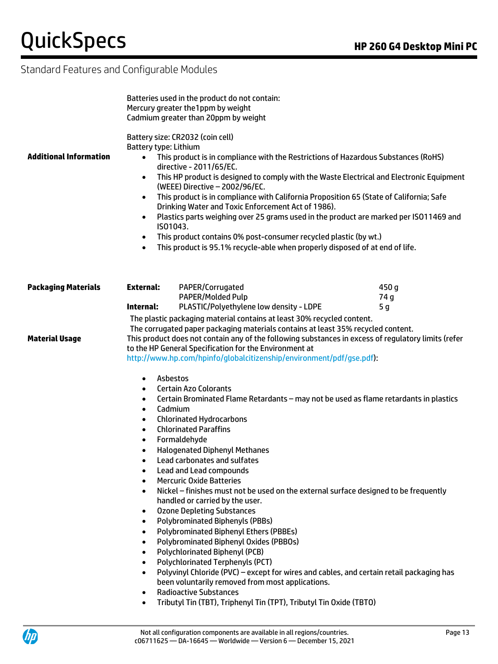$\psi$ 

# Standard Features and Configurable Modules

| <b>Additional Information</b> | Battery type: Lithium<br>$\bullet$<br>$\bullet$<br>$\bullet$<br>$\bullet$<br>$\bullet$<br>$\bullet$ | Batteries used in the product do not contain:<br>Mercury greater the1ppm by weight<br>Cadmium greater than 20ppm by weight<br>Battery size: CR2032 (coin cell)<br>This product is in compliance with the Restrictions of Hazardous Substances (RoHS)<br>directive - 2011/65/EC.<br>This HP product is designed to comply with the Waste Electrical and Electronic Equipment<br>(WEEE) Directive - 2002/96/EC.<br>This product is in compliance with California Proposition 65 (State of California; Safe<br>Drinking Water and Toxic Enforcement Act of 1986).<br>Plastics parts weighing over 25 grams used in the product are marked per ISO11469 and<br>IS01043.<br>This product contains 0% post-consumer recycled plastic (by wt.)<br>This product is 95.1% recycle-able when properly disposed of at end of life. |       |
|-------------------------------|-----------------------------------------------------------------------------------------------------|-------------------------------------------------------------------------------------------------------------------------------------------------------------------------------------------------------------------------------------------------------------------------------------------------------------------------------------------------------------------------------------------------------------------------------------------------------------------------------------------------------------------------------------------------------------------------------------------------------------------------------------------------------------------------------------------------------------------------------------------------------------------------------------------------------------------------|-------|
| <b>Packaging Materials</b>    | External:                                                                                           | PAPER/Corrugated                                                                                                                                                                                                                                                                                                                                                                                                                                                                                                                                                                                                                                                                                                                                                                                                        | 450 g |
|                               |                                                                                                     | PAPER/Molded Pulp                                                                                                                                                                                                                                                                                                                                                                                                                                                                                                                                                                                                                                                                                                                                                                                                       | 74 g  |
|                               | Internal:                                                                                           | PLASTIC/Polyethylene low density - LDPE                                                                                                                                                                                                                                                                                                                                                                                                                                                                                                                                                                                                                                                                                                                                                                                 | 5 g   |
|                               |                                                                                                     | The plastic packaging material contains at least 30% recycled content.<br>The corrugated paper packaging materials contains at least 35% recycled content.                                                                                                                                                                                                                                                                                                                                                                                                                                                                                                                                                                                                                                                              |       |
| <b>Material Usage</b>         |                                                                                                     | This product does not contain any of the following substances in excess of regulatory limits (refer                                                                                                                                                                                                                                                                                                                                                                                                                                                                                                                                                                                                                                                                                                                     |       |
|                               |                                                                                                     | to the HP General Specification for the Environment at                                                                                                                                                                                                                                                                                                                                                                                                                                                                                                                                                                                                                                                                                                                                                                  |       |
|                               |                                                                                                     | http://www.hp.com/hpinfo/globalcitizenship/environment/pdf/gse.pdf):                                                                                                                                                                                                                                                                                                                                                                                                                                                                                                                                                                                                                                                                                                                                                    |       |
|                               | $\bullet$                                                                                           | Asbestos                                                                                                                                                                                                                                                                                                                                                                                                                                                                                                                                                                                                                                                                                                                                                                                                                |       |
|                               | $\bullet$                                                                                           | <b>Certain Azo Colorants</b>                                                                                                                                                                                                                                                                                                                                                                                                                                                                                                                                                                                                                                                                                                                                                                                            |       |
|                               | $\bullet$                                                                                           | Certain Brominated Flame Retardants - may not be used as flame retardants in plastics                                                                                                                                                                                                                                                                                                                                                                                                                                                                                                                                                                                                                                                                                                                                   |       |
|                               | $\bullet$                                                                                           | Cadmium                                                                                                                                                                                                                                                                                                                                                                                                                                                                                                                                                                                                                                                                                                                                                                                                                 |       |
|                               | ٠<br>$\bullet$                                                                                      | <b>Chlorinated Hydrocarbons</b><br><b>Chlorinated Paraffins</b>                                                                                                                                                                                                                                                                                                                                                                                                                                                                                                                                                                                                                                                                                                                                                         |       |
|                               | $\bullet$                                                                                           | Formaldehyde                                                                                                                                                                                                                                                                                                                                                                                                                                                                                                                                                                                                                                                                                                                                                                                                            |       |
|                               | $\bullet$                                                                                           | <b>Halogenated Diphenyl Methanes</b>                                                                                                                                                                                                                                                                                                                                                                                                                                                                                                                                                                                                                                                                                                                                                                                    |       |
|                               | $\bullet$                                                                                           | Lead carbonates and sulfates                                                                                                                                                                                                                                                                                                                                                                                                                                                                                                                                                                                                                                                                                                                                                                                            |       |
|                               | ٠                                                                                                   | Lead and Lead compounds                                                                                                                                                                                                                                                                                                                                                                                                                                                                                                                                                                                                                                                                                                                                                                                                 |       |
|                               | $\bullet$                                                                                           | <b>Mercuric Oxide Batteries</b><br>Nickel - finishes must not be used on the external surface designed to be frequently                                                                                                                                                                                                                                                                                                                                                                                                                                                                                                                                                                                                                                                                                                 |       |
|                               |                                                                                                     | handled or carried by the user.                                                                                                                                                                                                                                                                                                                                                                                                                                                                                                                                                                                                                                                                                                                                                                                         |       |
|                               | $\bullet$                                                                                           | <b>Ozone Depleting Substances</b>                                                                                                                                                                                                                                                                                                                                                                                                                                                                                                                                                                                                                                                                                                                                                                                       |       |
|                               | $\bullet$                                                                                           | <b>Polybrominated Biphenyls (PBBs)</b>                                                                                                                                                                                                                                                                                                                                                                                                                                                                                                                                                                                                                                                                                                                                                                                  |       |
|                               | $\bullet$                                                                                           | Polybrominated Biphenyl Ethers (PBBEs)<br>Polybrominated Biphenyl Oxides (PBBOs)                                                                                                                                                                                                                                                                                                                                                                                                                                                                                                                                                                                                                                                                                                                                        |       |
|                               | $\bullet$<br>$\bullet$                                                                              | Polychlorinated Biphenyl (PCB)                                                                                                                                                                                                                                                                                                                                                                                                                                                                                                                                                                                                                                                                                                                                                                                          |       |
|                               | $\bullet$                                                                                           | <b>Polychlorinated Terphenyls (PCT)</b>                                                                                                                                                                                                                                                                                                                                                                                                                                                                                                                                                                                                                                                                                                                                                                                 |       |
|                               | $\bullet$                                                                                           | Polyvinyl Chloride (PVC) - except for wires and cables, and certain retail packaging has                                                                                                                                                                                                                                                                                                                                                                                                                                                                                                                                                                                                                                                                                                                                |       |
|                               |                                                                                                     | been voluntarily removed from most applications.                                                                                                                                                                                                                                                                                                                                                                                                                                                                                                                                                                                                                                                                                                                                                                        |       |
|                               | $\bullet$                                                                                           | <b>Radioactive Substances</b><br>Tributyl Tin (TBT), Triphenyl Tin (TPT), Tributyl Tin Oxide (TBTO)                                                                                                                                                                                                                                                                                                                                                                                                                                                                                                                                                                                                                                                                                                                     |       |
|                               | $\bullet$                                                                                           |                                                                                                                                                                                                                                                                                                                                                                                                                                                                                                                                                                                                                                                                                                                                                                                                                         |       |

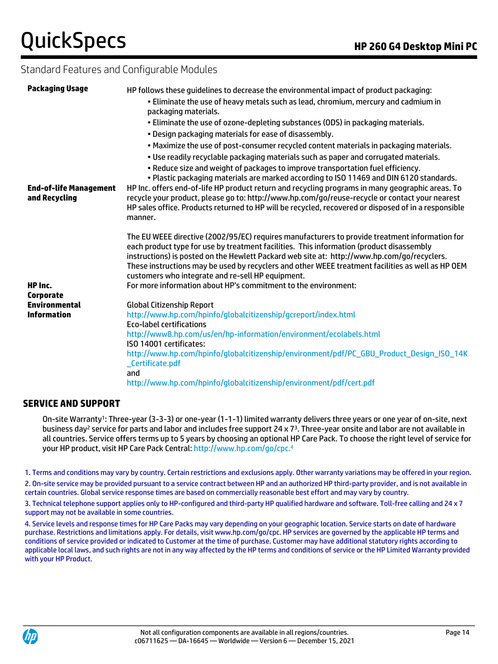# Standard Features and Configurable Modules

| <b>Packaging Usage</b>                                         | HP follows these guidelines to decrease the environmental impact of product packaging:<br>. Eliminate the use of heavy metals such as lead, chromium, mercury and cadmium in<br>packaging materials.                                                                                                                                                                                                                                                                                                                  |
|----------------------------------------------------------------|-----------------------------------------------------------------------------------------------------------------------------------------------------------------------------------------------------------------------------------------------------------------------------------------------------------------------------------------------------------------------------------------------------------------------------------------------------------------------------------------------------------------------|
|                                                                | . Eliminate the use of ozone-depleting substances (ODS) in packaging materials.<br>. Design packaging materials for ease of disassembly.                                                                                                                                                                                                                                                                                                                                                                              |
|                                                                | . Maximize the use of post-consumer recycled content materials in packaging materials.<br>. Use readily recyclable packaging materials such as paper and corrugated materials.                                                                                                                                                                                                                                                                                                                                        |
| <b>End-of-life Management</b><br>and Recycling                 | . Reduce size and weight of packages to improve transportation fuel efficiency.<br>. Plastic packaging materials are marked according to ISO 11469 and DIN 6120 standards.<br>HP Inc. offers end-of-life HP product return and recycling programs in many geographic areas. To<br>recycle your product, please go to: http://www.hp.com/go/reuse-recycle or contact your nearest<br>HP sales office. Products returned to HP will be recycled, recovered or disposed of in a responsible<br>manner.                   |
| HP Inc.                                                        | The EU WEEE directive (2002/95/EC) requires manufacturers to provide treatment information for<br>each product type for use by treatment facilities. This information (product disassembly<br>instructions) is posted on the Hewlett Packard web site at: http://www.hp.com/go/recyclers.<br>These instructions may be used by recyclers and other WEEE treatment facilities as well as HP OEM<br>customers who integrate and re-sell HP equipment.<br>For more information about HP's commitment to the environment: |
| <b>Corporate</b><br><b>Environmental</b><br><b>Information</b> | <b>Global Citizenship Report</b><br>http://www.hp.com/hpinfo/globalcitizenship/gcreport/index.html                                                                                                                                                                                                                                                                                                                                                                                                                    |
|                                                                | <b>Eco-label certifications</b><br>http://www8.hp.com/us/en/hp-information/environment/ecolabels.html                                                                                                                                                                                                                                                                                                                                                                                                                 |
|                                                                | ISO 14001 certificates:<br>http://www.hp.com/hpinfo/globalcitizenship/environment/pdf/PC_GBU_Product_Design_ISO_14K<br>_Certificate.pdf<br>and<br>http://www.hp.com/hpinfo/globalcitizenship/environment/pdf/cert.pdf                                                                                                                                                                                                                                                                                                 |
|                                                                |                                                                                                                                                                                                                                                                                                                                                                                                                                                                                                                       |

### **SERVICE AND SUPPORT**

On-site Warranty<sup>1</sup> : Three-year (3-3-3) or one-year (1-1-1) limited warranty delivers three years or one year of on-site, next business day<sup>2</sup> service for parts and labor and includes free support 24 x 7<sup>3</sup>. Three-year onsite and labor are not available in all countries. Service offers terms up to 5 years by choosing an optional HP Care Pack. To choose the right level of service for your HP product, visit HP Care Pack Central[: http://www.hp.com/go/cpc.](http://www.hp.com/go/cpc.4)<sup>4</sup>

1. Terms and conditions may vary by country. Certain restrictions and exclusions apply. Other warranty variations may be offered in your region.

2. On-site service may be provided pursuant to a service contract between HP and an authorized HP third-party provider, and is not available in certain countries. Global service response times are based on commercially reasonable best effort and may vary by country.

3. Technical telephone support applies only to HP-configured and third-party HP qualified hardware and software. Toll-free calling and 24 x 7 support may not be available in some countries.

4. Service levels and response times for HP Care Packs may vary depending on your geographic location. Service starts on date of hardware purchase. Restrictions and limitations apply. For details, visit www.hp.com/go/cpc. HP services are governed by the applicable HP terms and conditions of service provided or indicated to Customer at the time of purchase. Customer may have additional statutory rights according to applicable local laws, and such rights are not in any way affected by the HP terms and conditions of service or the HP Limited Warranty provided with your HP Product.

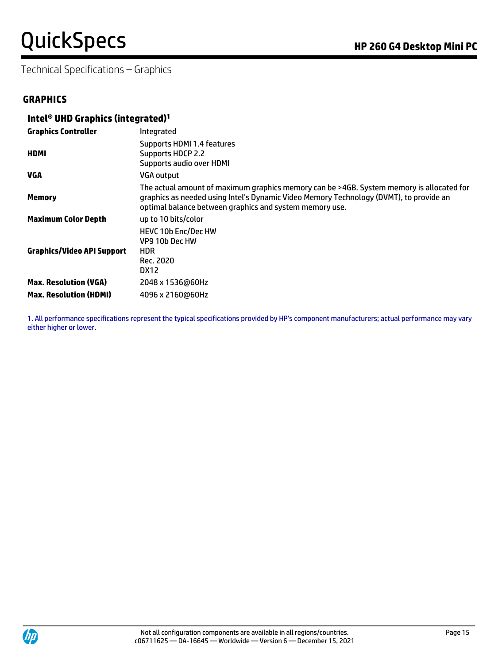# QuickSpecs **Manual Property Control** Research **Property Area** APP 260 G4 Desktop Mini PC

Technical Specifications – Graphics

### **GRAPHICS**

### **Intel® UHD Graphics (integrated)<sup>1</sup>**

| <b>Graphics Controller</b>        | Integrated                                                                                                                                                                                                                                    |
|-----------------------------------|-----------------------------------------------------------------------------------------------------------------------------------------------------------------------------------------------------------------------------------------------|
| <b>HDMI</b>                       | Supports HDMI 1.4 features<br>Supports HDCP 2.2<br>Supports audio over HDMI                                                                                                                                                                   |
| VGA                               | <b>VGA output</b>                                                                                                                                                                                                                             |
| <b>Memory</b>                     | The actual amount of maximum graphics memory can be >4GB. System memory is allocated for<br>graphics as needed using Intel's Dynamic Video Memory Technology (DVMT), to provide an<br>optimal balance between graphics and system memory use. |
| <b>Maximum Color Depth</b>        | up to 10 bits/color                                                                                                                                                                                                                           |
| <b>Graphics/Video API Support</b> | <b>HEVC 10b Enc/Dec HW</b><br>VP9 10b Dec HW<br><b>HDR</b><br>Rec. 2020<br>DX12                                                                                                                                                               |
| <b>Max. Resolution (VGA)</b>      | 2048 x 1536@60Hz                                                                                                                                                                                                                              |
| <b>Max. Resolution (HDMI)</b>     | 4096 x 2160@60Hz                                                                                                                                                                                                                              |

1. All performance specifications represent the typical specifications provided by HP's component manufacturers; actual performance may vary either higher or lower.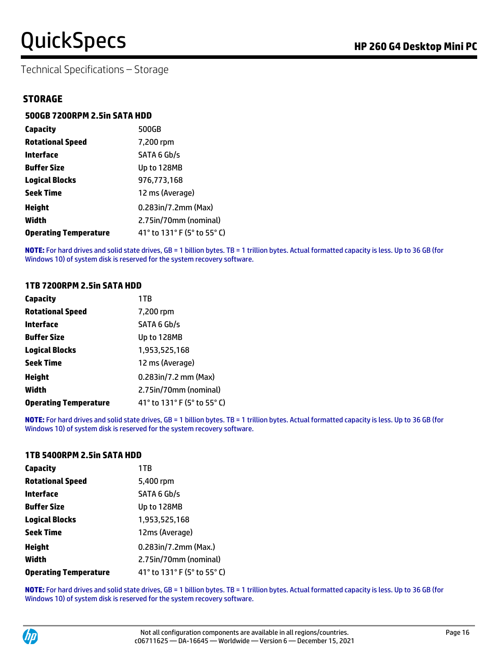Technical Specifications – Storage

### **STORAGE**

### **500GB 7200RPM 2.5in SATA HDD**

| Capacity                     | 500GB                       |
|------------------------------|-----------------------------|
| <b>Rotational Speed</b>      | 7,200 rpm                   |
| Interface                    | SATA 6 Gb/s                 |
| <b>Buffer Size</b>           | Up to 128MB                 |
| <b>Logical Blocks</b>        | 976,773,168                 |
| <b>Seek Time</b>             | 12 ms (Average)             |
| <b>Height</b>                | 0.283in/7.2mm (Max)         |
| Width                        | 2.75in/70mm (nominal)       |
| <b>Operating Temperature</b> | 41° to 131° F (5° to 55° C) |

**NOTE:** For hard drives and solid state drives, GB = 1 billion bytes. TB = 1 trillion bytes. Actual formatted capacity is less. Up to 36 GB (for Windows 10) of system disk is reserved for the system recovery software.

#### **1TB 7200RPM 2.5in SATA HDD**

| Capacity                     | 1TB                         |
|------------------------------|-----------------------------|
| <b>Rotational Speed</b>      | 7,200 rpm                   |
| Interface                    | SATA 6 Gb/s                 |
| <b>Buffer Size</b>           | Up to 128MB                 |
| <b>Logical Blocks</b>        | 1,953,525,168               |
| <b>Seek Time</b>             | 12 ms (Average)             |
| <b>Height</b>                | $0.283$ in/7.2 mm $(Max)$   |
| Width                        | 2.75in/70mm (nominal)       |
| <b>Operating Temperature</b> | 41° to 131° F (5° to 55° C) |

**NOTE:** For hard drives and solid state drives, GB = 1 billion bytes. TB = 1 trillion bytes. Actual formatted capacity is less. Up to 36 GB (for Windows 10) of system disk is reserved for the system recovery software.

#### **1TB 5400RPM 2.5in SATA HDD**

| Capacity                     | 1TB                         |
|------------------------------|-----------------------------|
| <b>Rotational Speed</b>      | 5,400 rpm                   |
| <b>Interface</b>             | SATA 6 Gb/s                 |
| <b>Buffer Size</b>           | Up to 128MB                 |
| <b>Logical Blocks</b>        | 1,953,525,168               |
| <b>Seek Time</b>             | 12ms (Average)              |
| <b>Height</b>                | 0.283in/7.2mm (Max.)        |
| Width                        | 2.75in/70mm (nominal)       |
| <b>Operating Temperature</b> | 41° to 131° F (5° to 55° C) |

**NOTE:** For hard drives and solid state drives, GB = 1 billion bytes. TB = 1 trillion bytes. Actual formatted capacity is less. Up to 36 GB (for Windows 10) of system disk is reserved for the system recovery software.

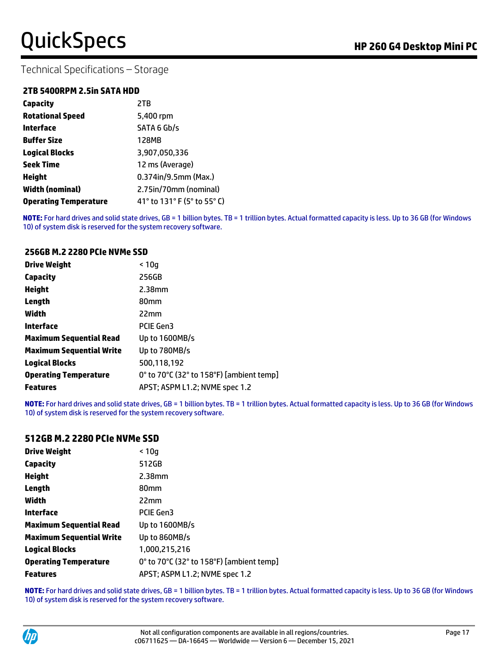Technical Specifications – Storage

### **2TB 5400RPM 2.5in SATA HDD**

| Capacity                     | 2TB                         |
|------------------------------|-----------------------------|
| <b>Rotational Speed</b>      | 5,400 rpm                   |
| Interface                    | SATA 6 Gb/s                 |
| <b>Buffer Size</b>           | 128MB                       |
| <b>Logical Blocks</b>        | 3,907,050,336               |
| <b>Seek Time</b>             | 12 ms (Average)             |
| Height                       | 0.374in/9.5mm (Max.)        |
| <b>Width (nominal)</b>       | 2.75in/70mm (nominal)       |
| <b>Operating Temperature</b> | 41° to 131° F (5° to 55° C) |

**NOTE:** For hard drives and solid state drives, GB = 1 billion bytes. TB = 1 trillion bytes. Actual formatted capacity is less. Up to 36 GB (for Windows 10) of system disk is reserved for the system recovery software.

#### **256GB M.2 2280 PCIe NVMe SSD**

| <b>Drive Weight</b>             | < 10a                                    |
|---------------------------------|------------------------------------------|
| Capacity                        | 256GB                                    |
| <b>Height</b>                   | 2.38mm                                   |
| Length                          | 80 <sub>mm</sub>                         |
| Width                           | 22mm                                     |
| Interface                       | <b>PCIE Gen3</b>                         |
| <b>Maximum Sequential Read</b>  | Up to 1600MB/s                           |
| <b>Maximum Sequential Write</b> | Up to 780MB/s                            |
| <b>Logical Blocks</b>           | 500.118.192                              |
| <b>Operating Temperature</b>    | 0° to 70°C (32° to 158°F) [ambient temp] |
| <b>Features</b>                 | APST; ASPM L1.2; NVME spec 1.2           |

**NOTE:** For hard drives and solid state drives, GB = 1 billion bytes. TB = 1 trillion bytes. Actual formatted capacity is less. Up to 36 GB (for Windows 10) of system disk is reserved for the system recovery software.

#### **512GB M.2 2280 PCIe NVMe SSD**

| Drive Weight                 | < 10q                                    |
|------------------------------|------------------------------------------|
| Capacity                     | 512GB                                    |
| Height                       | $2.38$ mm                                |
| Length                       | 80 <sub>mm</sub>                         |
| Width                        | 22mm                                     |
| Interface                    | <b>PCIE Gen3</b>                         |
| Maximum Sequential Read      | Up to 1600MB/s                           |
| Maximum Sequential Write     | Up to 860MB/s                            |
| Logical Blocks               | 1,000,215,216                            |
| <b>Operating Temperature</b> | 0° to 70°C (32° to 158°F) [ambient temp] |
| <b>Features</b>              | APST; ASPM L1.2; NVME spec 1.2           |

**NOTE:** For hard drives and solid state drives, GB = 1 billion bytes. TB = 1 trillion bytes. Actual formatted capacity is less. Up to 36 GB (for Windows 10) of system disk is reserved for the system recovery software.

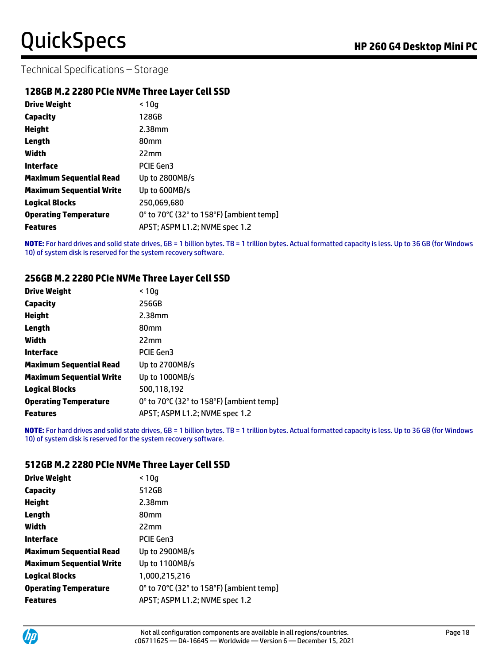Technical Specifications – Storage

### **128GB M.2 2280 PCIe NVMe Three Layer Cell SSD**

| <b>Drive Weight</b>             | < 10q                                    |
|---------------------------------|------------------------------------------|
| <b>Capacity</b>                 | 128GB                                    |
| <b>Height</b>                   | $2.38$ mm                                |
| Length                          | 80 <sub>mm</sub>                         |
| Width                           | 22mm                                     |
| Interface                       | PCIE Gen3                                |
| <b>Maximum Sequential Read</b>  | Up to 2800MB/s                           |
| <b>Maximum Sequential Write</b> | Up to 600MB/s                            |
| <b>Logical Blocks</b>           | 250,069,680                              |
| <b>Operating Temperature</b>    | 0° to 70°C (32° to 158°F) [ambient temp] |
| <b>Features</b>                 | APST; ASPM L1.2; NVME spec 1.2           |

**NOTE:** For hard drives and solid state drives, GB = 1 billion bytes. TB = 1 trillion bytes. Actual formatted capacity is less. Up to 36 GB (for Windows 10) of system disk is reserved for the system recovery software.

### **256GB M.2 2280 PCIe NVMe Three Layer Cell SSD**

| <b>Drive Weight</b>             | < 10q                                    |
|---------------------------------|------------------------------------------|
| <b>Capacity</b>                 | 256GB                                    |
| <b>Height</b>                   | $2.38$ mm                                |
| Length                          | 80 <sub>mm</sub>                         |
| Width                           | 22mm                                     |
| Interface                       | <b>PCIE Gen3</b>                         |
| <b>Maximum Sequential Read</b>  | Up to 2700MB/s                           |
| <b>Maximum Sequential Write</b> | Up to 1000MB/s                           |
| <b>Logical Blocks</b>           | 500,118,192                              |
| <b>Operating Temperature</b>    | 0° to 70°C (32° to 158°F) [ambient temp] |
| <b>Features</b>                 | APST; ASPM L1.2; NVME spec 1.2           |

**NOTE:** For hard drives and solid state drives, GB = 1 billion bytes. TB = 1 trillion bytes. Actual formatted capacity is less. Up to 36 GB (for Windows 10) of system disk is reserved for the system recovery software.

### **512GB M.2 2280 PCIe NVMe Three Layer Cell SSD**

| <b>Drive Weight</b>      | < 10q                                    |
|--------------------------|------------------------------------------|
| Capacity                 | 512GB                                    |
| Height                   | $2.38$ mm                                |
| Length                   | 80 <sub>mm</sub>                         |
| Width                    | 22mm                                     |
| Interface                | <b>PCIE Gen3</b>                         |
| Maximum Sequential Read  | Up to 2900MB/s                           |
| Maximum Sequential Write | Up to 1100MB/s                           |
| Logical Blocks           | 1,000,215,216                            |
| Operating Temperature    | 0° to 70°C (32° to 158°F) [ambient temp] |
| Features                 | APST; ASPM L1.2; NVME spec 1.2           |
|                          |                                          |

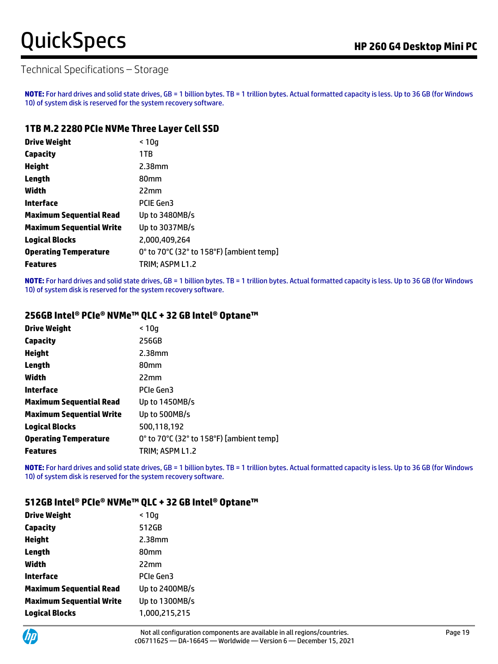### Technical Specifications – Storage

**NOTE:** For hard drives and solid state drives, GB = 1 billion bytes. TB = 1 trillion bytes. Actual formatted capacity is less. Up to 36 GB (for Windows 10) of system disk is reserved for the system recovery software.

### **1TB M.2 2280 PCIe NVMe Three Layer Cell SSD**

| <b>Drive Weight</b>             | < 10q                                    |
|---------------------------------|------------------------------------------|
| Capacity                        | 1TB                                      |
| <b>Height</b>                   | 2.38mm                                   |
| Length                          | 80mm                                     |
| Width                           | 22mm                                     |
| Interface                       | <b>PCIE Gen3</b>                         |
| <b>Maximum Sequential Read</b>  | Up to 3480MB/s                           |
| <b>Maximum Sequential Write</b> | Up to 3037MB/s                           |
| <b>Logical Blocks</b>           | 2,000,409,264                            |
| <b>Operating Temperature</b>    | 0° to 70°C (32° to 158°F) [ambient temp] |
| <b>Features</b>                 | TRIM; ASPM L1.2                          |

**NOTE:** For hard drives and solid state drives, GB = 1 billion bytes. TB = 1 trillion bytes. Actual formatted capacity is less. Up to 36 GB (for Windows 10) of system disk is reserved for the system recovery software.

### **256GB Intel® PCIe® NVMe™ QLC + 32 GB Intel® Optane™**

| <b>Drive Weight</b>             | < 10a                                    |
|---------------------------------|------------------------------------------|
| <b>Capacity</b>                 | 256GB                                    |
| <b>Height</b>                   | $2.38$ mm                                |
| Length                          | 80 <sub>mm</sub>                         |
| Width                           | 22mm                                     |
| <b>Interface</b>                | PCIe Gen3                                |
| <b>Maximum Sequential Read</b>  | Up to 1450MB/s                           |
| <b>Maximum Sequential Write</b> | Up to 500MB/s                            |
| <b>Logical Blocks</b>           | 500,118,192                              |
| <b>Operating Temperature</b>    | 0° to 70°C (32° to 158°F) [ambient temp] |
| <b>Features</b>                 | TRIM; ASPM L1.2                          |

**NOTE:** For hard drives and solid state drives, GB = 1 billion bytes. TB = 1 trillion bytes. Actual formatted capacity is less. Up to 36 GB (for Windows 10) of system disk is reserved for the system recovery software.

### **512GB Intel® PCIe® NVMe™ QLC + 32 GB Intel® Optane™**

| <b>Drive Weight</b>             | < 10q            |
|---------------------------------|------------------|
| Capacity                        | 512GB            |
| <b>Height</b>                   | $2.38$ mm        |
| Length                          | 80 <sub>mm</sub> |
| Width                           | 22mm             |
| <b>Interface</b>                | <b>PCIe Gen3</b> |
| <b>Maximum Sequential Read</b>  | Up to 2400MB/s   |
| <b>Maximum Sequential Write</b> | Up to 1300MB/s   |
| <b>Logical Blocks</b>           | 1,000,215,215    |
|                                 |                  |

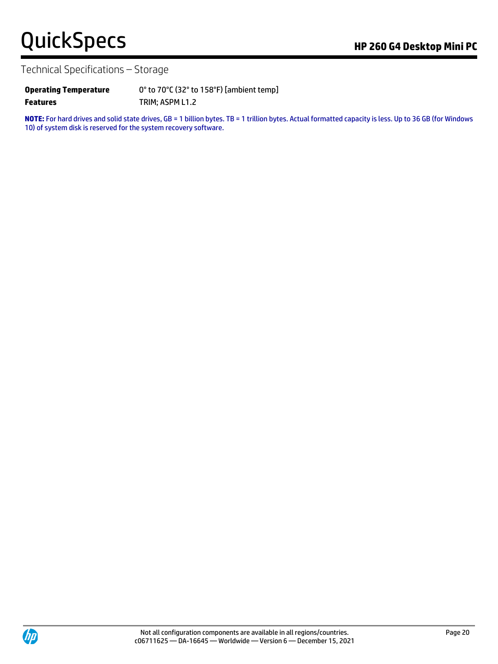# QuickSpecs **Manual Property Control** Research **Property Area** APP 260 G4 Desktop Mini PC

Technical Specifications – Storage

| <b>Operating Temperature</b> | 0° to 70°C (32° to 158°F) [ambient temp] |
|------------------------------|------------------------------------------|
| <b>Features</b>              | TRIM; ASPM L1.2                          |

**NOTE:** For hard drives and solid state drives, GB = 1 billion bytes. TB = 1 trillion bytes. Actual formatted capacity is less. Up to 36 GB (for Windows 10) of system disk is reserved for the system recovery software.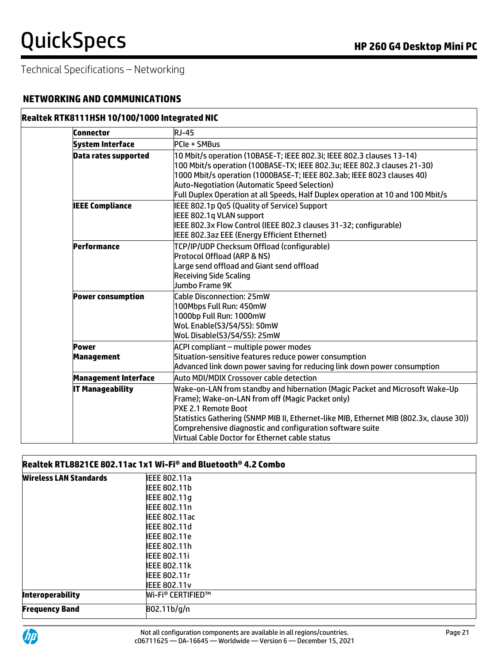### **NETWORKING AND COMMUNICATIONS**

### **Realtek RTK8111HSH 10/100/1000 Integrated NIC**

| Connector                         | <b>RJ-45</b>                                                                                                                                                                                                                                                                                                                                                             |
|-----------------------------------|--------------------------------------------------------------------------------------------------------------------------------------------------------------------------------------------------------------------------------------------------------------------------------------------------------------------------------------------------------------------------|
| <b>System Interface</b>           | <b>PCIe + SMBus</b>                                                                                                                                                                                                                                                                                                                                                      |
| <b>Data rates supported</b>       | 10 Mbit/s operation (10BASE-T; IEEE 802.3i; IEEE 802.3 clauses 13-14)<br>100 Mbit/s operation (100BASE-TX; IEEE 802.3u; IEEE 802.3 clauses 21-30)<br>1000 Mbit/s operation (1000BASE-T; IEEE 802.3ab; IEEE 8023 clauses 40)<br><b>Auto-Negotiation (Automatic Speed Selection)</b><br>Full Duplex Operation at all Speeds, Half Duplex operation at 10 and 100 Mbit/s    |
| <b>IEEE Compliance</b>            | IEEE 802.1p QoS (Quality of Service) Support<br>IEEE 802.1q VLAN support<br>IEEE 802.3x Flow Control (IEEE 802.3 clauses 31-32; configurable)<br>IEEE 802.3az EEE (Energy Efficient Ethernet)                                                                                                                                                                            |
| Performance                       | TCP/IP/UDP Checksum Offload (configurable)<br>Protocol Offload (ARP & NS)<br>Large send offload and Giant send offload<br><b>Receiving Side Scaling</b><br>Jumbo Frame 9K                                                                                                                                                                                                |
| <b>Power consumption</b>          | Cable Disconnection: 25mW<br>100Mbps Full Run: 450mW<br>1000bp Full Run: 1000mW<br>WoL Enable(S3/S4/S5): 50mW<br>WoL Disable(S3/S4/S5): 25mW                                                                                                                                                                                                                             |
| <b>Power</b><br><b>Management</b> | ACPI compliant - multiple power modes<br>Situation-sensitive features reduce power consumption<br>Advanced link down power saving for reducing link down power consumption                                                                                                                                                                                               |
| <b>Management Interface</b>       | Auto MDI/MDIX Crossover cable detection                                                                                                                                                                                                                                                                                                                                  |
| <b>IT Manageability</b>           | Wake-on-LAN from standby and hibernation (Magic Packet and Microsoft Wake-Up<br>Frame); Wake-on-LAN from off (Magic Packet only)<br><b>PXE 2.1 Remote Boot</b><br>Statistics Gathering (SNMP MIB II, Ethernet-like MIB, Ethernet MIB (802.3x, clause 30))<br>Comprehensive diagnostic and configuration software suite<br>Virtual Cable Doctor for Ethernet cable status |

# **Realtek RTL8821CE 802.11ac 1x1 Wi-Fi® and Bluetooth® 4.2 Combo**

| <b>Wireless LAN Standards</b> | IEEE 802.11a             |  |
|-------------------------------|--------------------------|--|
|                               | <b>IEEE 802.11b</b>      |  |
|                               | IEEE 802.11g             |  |
|                               | <b>IEEE 802.11n</b>      |  |
|                               | <b>IEEE 802.11ac</b>     |  |
|                               | <b>IEEE 802.11d</b>      |  |
|                               | <b>IEEE 802.11e</b>      |  |
|                               | <b>IEEE 802.11h</b>      |  |
|                               | <b>IEEE 802.11i</b>      |  |
|                               | <b>IEEE 802.11k</b>      |  |
|                               | <b>IEEE 802.11r</b>      |  |
|                               | <b>IEEE 802.11v</b>      |  |
| <b>Interoperability</b>       | <b>Wi-Fi® CERTIFIED™</b> |  |
| <b>Frequency Band</b>         | 802.11b/g/n              |  |
|                               |                          |  |

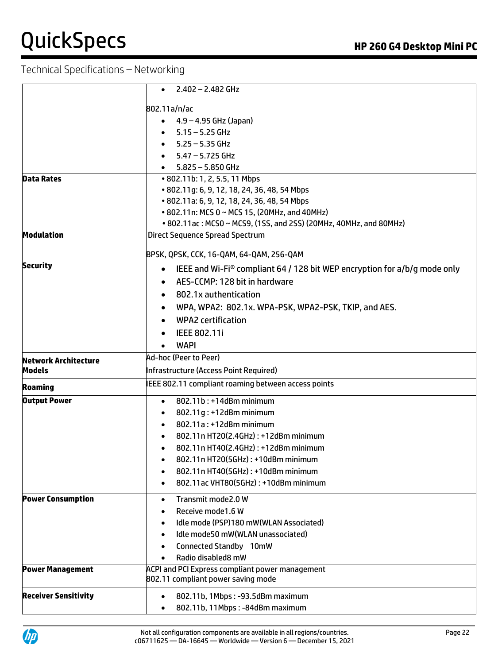|                             | 2.402 - 2.482 GHz                                                                                    |  |  |
|-----------------------------|------------------------------------------------------------------------------------------------------|--|--|
|                             | 802.11a/n/ac                                                                                         |  |  |
|                             | 4.9 – 4.95 GHz (Japan)                                                                               |  |  |
|                             | $5.15 - 5.25$ GHz<br>$\bullet$                                                                       |  |  |
|                             | $5.25 - 5.35$ GHz                                                                                    |  |  |
|                             | $5.47 - 5.725$ GHz                                                                                   |  |  |
|                             | $5.825 - 5.850$ GHz                                                                                  |  |  |
| <b>Data Rates</b>           | • 802.11b: 1, 2, 5.5, 11 Mbps                                                                        |  |  |
|                             | • 802.11g: 6, 9, 12, 18, 24, 36, 48, 54 Mbps                                                         |  |  |
|                             | • 802.11a: 6, 9, 12, 18, 24, 36, 48, 54 Mbps                                                         |  |  |
|                             | • 802.11n: MCS 0 ~ MCS 15, (20MHz, and 40MHz)                                                        |  |  |
|                             | • 802.11ac: MCS0 ~ MCS9, (1SS, and 2SS) (20MHz, 40MHz, and 80MHz)                                    |  |  |
| <b>Modulation</b>           | <b>Direct Sequence Spread Spectrum</b>                                                               |  |  |
|                             | BPSK, QPSK, CCK, 16-QAM, 64-QAM, 256-QAM                                                             |  |  |
| <b>Security</b>             |                                                                                                      |  |  |
|                             | IEEE and Wi-Fi <sup>®</sup> compliant 64 / 128 bit WEP encryption for $a/b/q$ mode only<br>$\bullet$ |  |  |
|                             | AES-CCMP: 128 bit in hardware<br>$\bullet$                                                           |  |  |
|                             | 802.1x authentication<br>$\bullet$                                                                   |  |  |
|                             | WPA, WPA2: 802.1x. WPA-PSK, WPA2-PSK, TKIP, and AES.<br>$\bullet$                                    |  |  |
|                             | <b>WPA2</b> certification                                                                            |  |  |
|                             | IEEE 802.11i                                                                                         |  |  |
|                             | <b>WAPI</b>                                                                                          |  |  |
| <b>Network Architecture</b> | Ad-hoc (Peer to Peer)                                                                                |  |  |
| <b>Models</b>               | Infrastructure (Access Point Required)                                                               |  |  |
| <b>Roaming</b>              | IEEE 802.11 compliant roaming between access points                                                  |  |  |
| <b>Output Power</b>         | 802.11b: +14dBm minimum<br>$\bullet$                                                                 |  |  |
|                             | 802.11g: +12dBm minimum<br>$\bullet$                                                                 |  |  |
|                             | 802.11a: +12dBm minimum<br>$\bullet$                                                                 |  |  |
|                             | 802.11n HT20(2.4GHz): +12dBm minimum<br>$\bullet$                                                    |  |  |
|                             | 802.11n HT40(2.4GHz): +12dBm minimum<br>$\bullet$                                                    |  |  |
|                             | 802.11n HT20(5GHz): +10dBm minimum                                                                   |  |  |
|                             | 802.11n HT40(5GHz): +10dBm minimum<br>$\bullet$                                                      |  |  |
|                             | 802.11ac VHT80(5GHz): +10dBm minimum<br>$\bullet$                                                    |  |  |
| <b>Power Consumption</b>    | Transmit mode2.0 W<br>$\bullet$                                                                      |  |  |
|                             | Receive mode1.6 W<br>$\bullet$                                                                       |  |  |
|                             | Idle mode (PSP)180 mW(WLAN Associated)<br>$\bullet$                                                  |  |  |
|                             | Idle mode50 mW(WLAN unassociated)<br>$\bullet$                                                       |  |  |
|                             | Connected Standby 10mW<br>$\bullet$                                                                  |  |  |
|                             | Radio disabled8 mW                                                                                   |  |  |
| <b>Power Management</b>     | <b>ACPI and PCI Express compliant power management</b>                                               |  |  |
|                             | 802.11 compliant power saving mode                                                                   |  |  |
| <b>Receiver Sensitivity</b> | 802.11b, 1Mbps: -93.5dBm maximum<br>$\bullet$                                                        |  |  |
|                             | 802.11b, 11Mbps: -84dBm maximum                                                                      |  |  |
|                             |                                                                                                      |  |  |

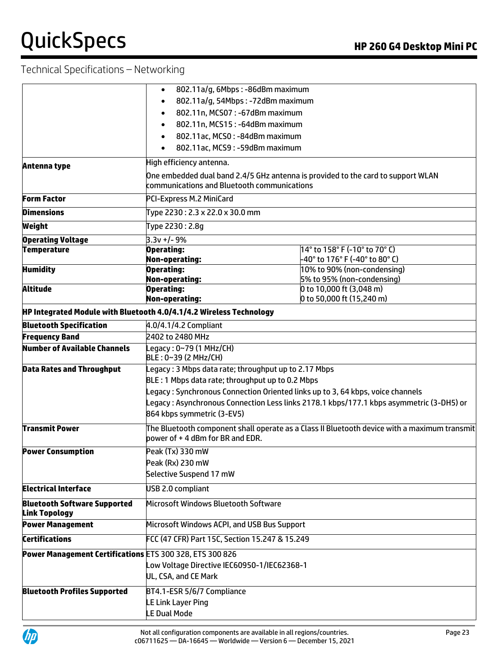|                                                             | 802.11a/g, 6Mbps: -86dBm maximum<br>$\bullet$                                                                                   |                                                                                  |  |
|-------------------------------------------------------------|---------------------------------------------------------------------------------------------------------------------------------|----------------------------------------------------------------------------------|--|
|                                                             | 802.11a/g, 54Mbps: -72dBm maximum<br>$\bullet$                                                                                  |                                                                                  |  |
|                                                             | 802.11n, MCS07: -67dBm maximum<br>$\bullet$                                                                                     |                                                                                  |  |
|                                                             | 802.11n, MCS15: -64dBm maximum<br>$\bullet$                                                                                     |                                                                                  |  |
|                                                             | 802.11ac, MCS0: -84dBm maximum<br>$\bullet$                                                                                     |                                                                                  |  |
|                                                             | 802.11ac, MCS9: -59dBm maximum<br>$\bullet$                                                                                     |                                                                                  |  |
| Antenna type                                                | High efficiency antenna.                                                                                                        |                                                                                  |  |
|                                                             | communications and Bluetooth communications                                                                                     | One embedded dual band 2.4/5 GHz antenna is provided to the card to support WLAN |  |
| <b>Form Factor</b>                                          | PCI-Express M.2 MiniCard                                                                                                        |                                                                                  |  |
| <b>Dimensions</b>                                           | Type 2230: 2.3 x 22.0 x 30.0 mm                                                                                                 |                                                                                  |  |
| Weight                                                      | Type 2230 : 2.8g                                                                                                                |                                                                                  |  |
| <b>Operating Voltage</b>                                    | $3.3v + 1 - 9%$                                                                                                                 |                                                                                  |  |
| <b>Temperature</b>                                          | <b>Operating:</b>                                                                                                               | 14° to 158° F (-10° to 70° C)                                                    |  |
|                                                             | <b>Non-operating:</b>                                                                                                           | -40° to 176° F (-40° to 80° C)<br>10% to 90% (non-condensing)                    |  |
| <b>Humidity</b>                                             | <b>Operating:</b><br><b>Non-operating:</b>                                                                                      | 5% to 95% (non-condensing)                                                       |  |
| <b>Altitude</b>                                             | <b>Operating:</b>                                                                                                               | 0 to 10,000 ft (3,048 m)                                                         |  |
|                                                             | <b>Non-operating:</b>                                                                                                           | 0 to 50,000 ft (15,240 m)                                                        |  |
|                                                             | HP Integrated Module with Bluetooth 4.0/4.1/4.2 Wireless Technology                                                             |                                                                                  |  |
| <b>Bluetooth Specification</b>                              | 4.0/4.1/4.2 Compliant                                                                                                           |                                                                                  |  |
| <b>Frequency Band</b>                                       | 2402 to 2480 MHz                                                                                                                |                                                                                  |  |
| <b>Number of Available Channels</b>                         | Legacy: 0~79 (1 MHz/CH)<br>BLE: 0~39 (2 MHz/CH)                                                                                 |                                                                                  |  |
| <b>Data Rates and Throughput</b>                            | Legacy: 3 Mbps data rate; throughput up to 2.17 Mbps                                                                            |                                                                                  |  |
|                                                             | BLE: 1 Mbps data rate; throughput up to 0.2 Mbps                                                                                |                                                                                  |  |
|                                                             |                                                                                                                                 | Legacy : Synchronous Connection Oriented links up to 3, 64 kbps, voice channels  |  |
|                                                             | Legacy : Asynchronous Connection Less links 2178.1 kbps/177.1 kbps asymmetric (3-DH5) or                                        |                                                                                  |  |
|                                                             | 864 kbps symmetric (3-EV5)                                                                                                      |                                                                                  |  |
| <b>Transmit Power</b>                                       | The Bluetooth component shall operate as a Class II Bluetooth device with a maximum transmit<br>power of +4 dBm for BR and EDR. |                                                                                  |  |
| <b>Power Consumption</b>                                    | Peak (Tx) 330 mW                                                                                                                |                                                                                  |  |
|                                                             | Peak (Rx) 230 mW                                                                                                                |                                                                                  |  |
|                                                             | Selective Suspend 17 mW                                                                                                         |                                                                                  |  |
| <b>Electrical Interface</b>                                 | USB 2.0 compliant                                                                                                               |                                                                                  |  |
| <b>Bluetooth Software Supported</b><br><b>Link Topology</b> | Microsoft Windows Bluetooth Software                                                                                            |                                                                                  |  |
| <b>Power Management</b>                                     | Microsoft Windows ACPI, and USB Bus Support                                                                                     |                                                                                  |  |
| <b>Certifications</b>                                       | FCC (47 CFR) Part 15C, Section 15.247 & 15.249                                                                                  |                                                                                  |  |
| Power Management Certifications ETS 300 328, ETS 300 826    |                                                                                                                                 |                                                                                  |  |
|                                                             | Low Voltage Directive IEC60950-1/IEC62368-1                                                                                     |                                                                                  |  |
|                                                             | UL, CSA, and CE Mark                                                                                                            |                                                                                  |  |
| <b>Bluetooth Profiles Supported</b>                         | BT4.1-ESR 5/6/7 Compliance                                                                                                      |                                                                                  |  |
|                                                             | LE Link Layer Ping                                                                                                              |                                                                                  |  |
|                                                             | <b>LE Dual Mode</b>                                                                                                             |                                                                                  |  |
|                                                             |                                                                                                                                 |                                                                                  |  |

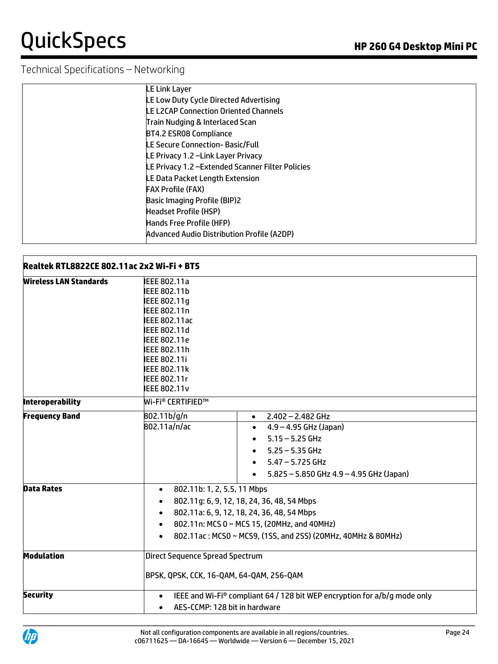| <b>LE Link Layer</b>                              |
|---------------------------------------------------|
| LE Low Duty Cycle Directed Advertising            |
| LE L2CAP Connection Oriented Channels             |
| Train Nudging & Interlaced Scan                   |
| BT4.2 ESR08 Compliance                            |
| LE Secure Connection- Basic/Full                  |
| LE Privacy 1.2 -Link Layer Privacy                |
| LE Privacy 1.2 - Extended Scanner Filter Policies |
| LE Data Packet Length Extension                   |
| <b>FAX Profile (FAX)</b>                          |
| <b>Basic Imaging Profile (BIP)2</b>               |
| <b>Headset Profile (HSP)</b>                      |
| Hands Free Profile (HFP)                          |
| Advanced Audio Distribution Profile (A2DP)        |

| <b>Wireless LAN Standards</b><br>IEEE 802.11a<br><b>IEEE 802.11b</b><br>IEEE 802.11g<br>IEEE 802.11n<br><b>IEEE 802.11ac</b><br>IEEE 802.11d<br><b>IEEE 802.11e</b><br>IEEE 802.11h<br>IEEE 802.11i<br><b>IEEE 802.11k</b><br>IEEE 802.11r<br><b>IEEE 802.11v</b><br><b>Interoperability</b><br><b>Wi-Fi<sup>®</sup> CERTIFIED™</b><br><b>Frequency Band</b><br>802.11b/g/n<br>$2.402 - 2.482$ GHz<br>$\bullet$<br>802.11a/n/ac<br>$4.9 - 4.95$ GHz (Japan)<br>$\bullet$<br>5.15 – 5.25 GHz<br>$5.25 - 5.35$ GHz<br>$\bullet$<br>$5.47 - 5.725$ GHz<br>$\bullet$<br>$5.825 - 5.850$ GHz $4.9 - 4.95$ GHz (Japan)<br>$\bullet$<br><b>Data Rates</b><br>802.11b: 1, 2, 5.5, 11 Mbps<br>$\bullet$<br>802.11g: 6, 9, 12, 18, 24, 36, 48, 54 Mbps<br>$\bullet$<br>802.11a: 6, 9, 12, 18, 24, 36, 48, 54 Mbps<br>$\bullet$<br>802.11n: MCS 0 ~ MCS 15, (20MHz, and 40MHz)<br>$\bullet$<br>802.11ac: MCS0 ~ MCS9, (1SS, and 2SS) (20MHz, 40MHz & 80MHz)<br>$\bullet$<br><b>Direct Sequence Spread Spectrum</b><br><b>Modulation</b> | <b>Realtek RTL8822CE 802.11ac 2x2 Wi-Fi + BT5</b> |                                          |  |  |
|------------------------------------------------------------------------------------------------------------------------------------------------------------------------------------------------------------------------------------------------------------------------------------------------------------------------------------------------------------------------------------------------------------------------------------------------------------------------------------------------------------------------------------------------------------------------------------------------------------------------------------------------------------------------------------------------------------------------------------------------------------------------------------------------------------------------------------------------------------------------------------------------------------------------------------------------------------------------------------------------------------------------------|---------------------------------------------------|------------------------------------------|--|--|
|                                                                                                                                                                                                                                                                                                                                                                                                                                                                                                                                                                                                                                                                                                                                                                                                                                                                                                                                                                                                                              |                                                   |                                          |  |  |
|                                                                                                                                                                                                                                                                                                                                                                                                                                                                                                                                                                                                                                                                                                                                                                                                                                                                                                                                                                                                                              |                                                   |                                          |  |  |
|                                                                                                                                                                                                                                                                                                                                                                                                                                                                                                                                                                                                                                                                                                                                                                                                                                                                                                                                                                                                                              |                                                   |                                          |  |  |
|                                                                                                                                                                                                                                                                                                                                                                                                                                                                                                                                                                                                                                                                                                                                                                                                                                                                                                                                                                                                                              |                                                   |                                          |  |  |
|                                                                                                                                                                                                                                                                                                                                                                                                                                                                                                                                                                                                                                                                                                                                                                                                                                                                                                                                                                                                                              |                                                   |                                          |  |  |
|                                                                                                                                                                                                                                                                                                                                                                                                                                                                                                                                                                                                                                                                                                                                                                                                                                                                                                                                                                                                                              |                                                   |                                          |  |  |
|                                                                                                                                                                                                                                                                                                                                                                                                                                                                                                                                                                                                                                                                                                                                                                                                                                                                                                                                                                                                                              |                                                   |                                          |  |  |
|                                                                                                                                                                                                                                                                                                                                                                                                                                                                                                                                                                                                                                                                                                                                                                                                                                                                                                                                                                                                                              |                                                   |                                          |  |  |
|                                                                                                                                                                                                                                                                                                                                                                                                                                                                                                                                                                                                                                                                                                                                                                                                                                                                                                                                                                                                                              |                                                   |                                          |  |  |
|                                                                                                                                                                                                                                                                                                                                                                                                                                                                                                                                                                                                                                                                                                                                                                                                                                                                                                                                                                                                                              |                                                   |                                          |  |  |
|                                                                                                                                                                                                                                                                                                                                                                                                                                                                                                                                                                                                                                                                                                                                                                                                                                                                                                                                                                                                                              |                                                   |                                          |  |  |
|                                                                                                                                                                                                                                                                                                                                                                                                                                                                                                                                                                                                                                                                                                                                                                                                                                                                                                                                                                                                                              |                                                   |                                          |  |  |
|                                                                                                                                                                                                                                                                                                                                                                                                                                                                                                                                                                                                                                                                                                                                                                                                                                                                                                                                                                                                                              |                                                   |                                          |  |  |
|                                                                                                                                                                                                                                                                                                                                                                                                                                                                                                                                                                                                                                                                                                                                                                                                                                                                                                                                                                                                                              |                                                   |                                          |  |  |
|                                                                                                                                                                                                                                                                                                                                                                                                                                                                                                                                                                                                                                                                                                                                                                                                                                                                                                                                                                                                                              |                                                   |                                          |  |  |
|                                                                                                                                                                                                                                                                                                                                                                                                                                                                                                                                                                                                                                                                                                                                                                                                                                                                                                                                                                                                                              |                                                   |                                          |  |  |
|                                                                                                                                                                                                                                                                                                                                                                                                                                                                                                                                                                                                                                                                                                                                                                                                                                                                                                                                                                                                                              |                                                   |                                          |  |  |
|                                                                                                                                                                                                                                                                                                                                                                                                                                                                                                                                                                                                                                                                                                                                                                                                                                                                                                                                                                                                                              |                                                   |                                          |  |  |
|                                                                                                                                                                                                                                                                                                                                                                                                                                                                                                                                                                                                                                                                                                                                                                                                                                                                                                                                                                                                                              |                                                   |                                          |  |  |
|                                                                                                                                                                                                                                                                                                                                                                                                                                                                                                                                                                                                                                                                                                                                                                                                                                                                                                                                                                                                                              |                                                   |                                          |  |  |
|                                                                                                                                                                                                                                                                                                                                                                                                                                                                                                                                                                                                                                                                                                                                                                                                                                                                                                                                                                                                                              |                                                   |                                          |  |  |
|                                                                                                                                                                                                                                                                                                                                                                                                                                                                                                                                                                                                                                                                                                                                                                                                                                                                                                                                                                                                                              |                                                   |                                          |  |  |
|                                                                                                                                                                                                                                                                                                                                                                                                                                                                                                                                                                                                                                                                                                                                                                                                                                                                                                                                                                                                                              |                                                   |                                          |  |  |
|                                                                                                                                                                                                                                                                                                                                                                                                                                                                                                                                                                                                                                                                                                                                                                                                                                                                                                                                                                                                                              |                                                   |                                          |  |  |
|                                                                                                                                                                                                                                                                                                                                                                                                                                                                                                                                                                                                                                                                                                                                                                                                                                                                                                                                                                                                                              |                                                   |                                          |  |  |
|                                                                                                                                                                                                                                                                                                                                                                                                                                                                                                                                                                                                                                                                                                                                                                                                                                                                                                                                                                                                                              |                                                   |                                          |  |  |
|                                                                                                                                                                                                                                                                                                                                                                                                                                                                                                                                                                                                                                                                                                                                                                                                                                                                                                                                                                                                                              |                                                   | BPSK, QPSK, CCK, 16-QAM, 64-QAM, 256-QAM |  |  |
| <b>Security</b><br>IEEE and Wi-Fi® compliant 64 / 128 bit WEP encryption for a/b/g mode only<br>$\bullet$                                                                                                                                                                                                                                                                                                                                                                                                                                                                                                                                                                                                                                                                                                                                                                                                                                                                                                                    |                                                   |                                          |  |  |
| $\bullet$                                                                                                                                                                                                                                                                                                                                                                                                                                                                                                                                                                                                                                                                                                                                                                                                                                                                                                                                                                                                                    |                                                   | AES-CCMP: 128 bit in hardware            |  |  |

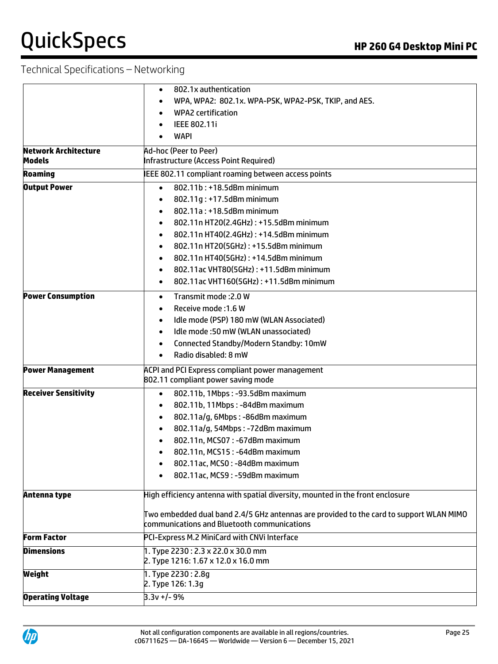|                             | 802.1x authentication<br>$\bullet$                                                           |  |
|-----------------------------|----------------------------------------------------------------------------------------------|--|
|                             | WPA, WPA2: 802.1x. WPA-PSK, WPA2-PSK, TKIP, and AES.                                         |  |
|                             | <b>WPA2 certification</b><br>$\bullet$                                                       |  |
|                             | IEEE 802.11i                                                                                 |  |
|                             | <b>WAPI</b><br>$\bullet$                                                                     |  |
| <b>Network Architecture</b> | Ad-hoc (Peer to Peer)                                                                        |  |
| <b>Models</b>               | Infrastructure (Access Point Required)                                                       |  |
| <b>Roaming</b>              | IEEE 802.11 compliant roaming between access points                                          |  |
| <b>Output Power</b>         | 802.11b: +18.5dBm minimum<br>$\bullet$                                                       |  |
|                             | 802.11g: +17.5dBm minimum<br>$\bullet$                                                       |  |
|                             | 802.11a: +18.5dBm minimum<br>$\bullet$                                                       |  |
|                             | 802.11n HT20(2.4GHz): +15.5dBm minimum<br>$\bullet$                                          |  |
|                             | 802.11n HT40(2.4GHz): +14.5dBm minimum<br>$\bullet$                                          |  |
|                             | 802.11n HT20(5GHz): +15.5dBm minimum<br>$\bullet$                                            |  |
|                             | 802.11n HT40(5GHz): +14.5dBm minimum<br>$\bullet$                                            |  |
|                             | 802.11ac VHT80(5GHz): +11.5dBm minimum<br>$\bullet$                                          |  |
|                             | 802.11ac VHT160(5GHz): +11.5dBm minimum<br>$\bullet$                                         |  |
| <b>Power Consumption</b>    | Transmit mode: 2.0 W<br>$\bullet$                                                            |  |
|                             | Receive mode: 1.6 W<br>$\bullet$                                                             |  |
|                             | Idle mode (PSP) 180 mW (WLAN Associated)<br>$\bullet$                                        |  |
|                             | Idle mode: 50 mW (WLAN unassociated)<br>$\bullet$                                            |  |
|                             | Connected Standby/Modern Standby: 10mW<br>$\bullet$                                          |  |
|                             | Radio disabled: 8 mW<br>$\bullet$                                                            |  |
| <b>Power Management</b>     | <b>ACPI and PCI Express compliant power management</b><br>802.11 compliant power saving mode |  |
| <b>Receiver Sensitivity</b> | 802.11b, 1Mbps: -93.5dBm maximum<br>$\bullet$                                                |  |
|                             | 802.11b, 11Mbps: - 84dBm maximum<br>$\bullet$                                                |  |
|                             | 802.11a/g, 6Mbps: - 86dBm maximum<br>$\bullet$                                               |  |
|                             | 802.11a/g, 54Mbps: -72dBm maximum<br>$\bullet$                                               |  |
|                             | 802.11n, MCS07: -67dBm maximum<br>$\bullet$                                                  |  |
|                             | 802.11n, MCS15: -64dBm maximum<br>$\bullet$                                                  |  |
|                             | 802.11ac, MCS0: -84dBm maximum<br>٠                                                          |  |
|                             | 802.11ac, MCS9: -59dBm maximum                                                               |  |
| Antenna type                | High efficiency antenna with spatial diversity, mounted in the front enclosure               |  |
|                             | Two embedded dual band 2.4/5 GHz antennas are provided to the card to support WLAN MIMO      |  |
|                             | communications and Bluetooth communications                                                  |  |
| <b>Form Factor</b>          | PCI-Express M.2 MiniCard with CNVi Interface                                                 |  |
| <b>Dimensions</b>           | 1. Type 2230: 2.3 x 22.0 x 30.0 mm                                                           |  |
|                             | 2. Type 1216: 1.67 x 12.0 x 16.0 mm                                                          |  |
| Weight                      | 1. Type 2230: 2.8g<br>2. Type 126: 1.3g                                                      |  |
| <b>Operating Voltage</b>    | $3.3v + -9%$                                                                                 |  |
|                             |                                                                                              |  |

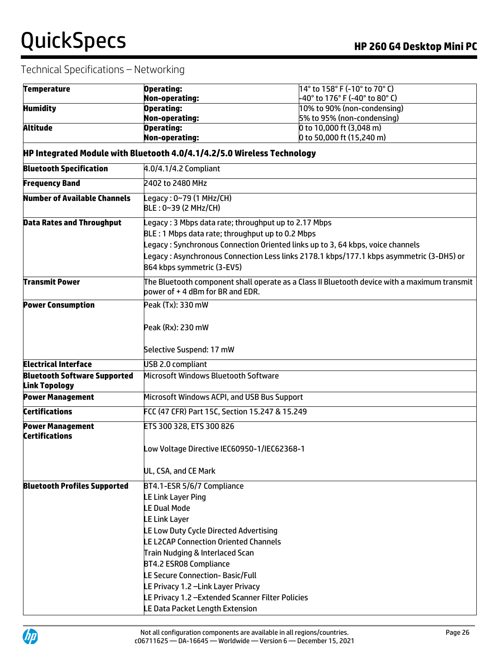| <b>Temperature</b>                                          | Operating:                                                              | 14° to 158° F (-10° to 70° C)                                                                |  |
|-------------------------------------------------------------|-------------------------------------------------------------------------|----------------------------------------------------------------------------------------------|--|
|                                                             | <b>Non-operating:</b>                                                   | -40° to 176° F (-40° to 80° C)                                                               |  |
| <b>Humidity</b>                                             | <b>Operating:</b><br><b>Non-operating:</b>                              | 10% to 90% (non-condensing)<br>5% to 95% (non-condensing)                                    |  |
| <b>Altitude</b>                                             | <b>Operating:</b>                                                       | 0 to 10,000 ft (3,048 m)                                                                     |  |
|                                                             | <b>Non-operating:</b>                                                   | 0 to 50,000 ft (15,240 m)                                                                    |  |
|                                                             | HP Integrated Module with Bluetooth 4.0/4.1/4.2/5.0 Wireless Technology |                                                                                              |  |
| <b>Bluetooth Specification</b>                              | 4.0/4.1/4.2 Compliant                                                   |                                                                                              |  |
| <b>Frequency Band</b>                                       | 2402 to 2480 MHz                                                        |                                                                                              |  |
| <b>Number of Available Channels</b>                         | Legacy : 0~79 (1 MHz/CH)<br>BLE: 0~39 (2 MHz/CH)                        |                                                                                              |  |
| <b>Data Rates and Throughput</b>                            | Legacy : 3 Mbps data rate; throughput up to 2.17 Mbps                   |                                                                                              |  |
|                                                             | BLE: 1 Mbps data rate; throughput up to 0.2 Mbps                        |                                                                                              |  |
|                                                             |                                                                         | Legacy : Synchronous Connection Oriented links up to 3, 64 kbps, voice channels              |  |
|                                                             |                                                                         | Legacy : Asynchronous Connection Less links 2178.1 kbps/177.1 kbps asymmetric (3-DH5) or     |  |
|                                                             | 864 kbps symmetric (3-EV5)                                              |                                                                                              |  |
| <b>Transmit Power</b>                                       | bower of +4 dBm for BR and EDR.                                         | The Bluetooth component shall operate as a Class II Bluetooth device with a maximum transmit |  |
| <b>Power Consumption</b>                                    | Peak (Tx): 330 mW                                                       |                                                                                              |  |
|                                                             | Peak (Rx): 230 mW                                                       |                                                                                              |  |
|                                                             | Selective Suspend: 17 mW                                                |                                                                                              |  |
| <b>Electrical Interface</b>                                 | USB 2.0 compliant                                                       |                                                                                              |  |
| <b>Bluetooth Software Supported</b><br><b>Link Topology</b> | Microsoft Windows Bluetooth Software                                    |                                                                                              |  |
| <b>Power Management</b>                                     | Microsoft Windows ACPI, and USB Bus Support                             |                                                                                              |  |
| <b>Certifications</b>                                       | FCC (47 CFR) Part 15C, Section 15.247 & 15.249                          |                                                                                              |  |
| <b>Power Management</b><br><b>Certifications</b>            | ETS 300 328, ETS 300 826                                                |                                                                                              |  |
|                                                             | Low Voltage Directive IEC60950-1/IEC62368-1                             |                                                                                              |  |
|                                                             | UL, CSA, and CE Mark                                                    |                                                                                              |  |
| <b>Bluetooth Profiles Supported</b>                         | BT4.1-ESR 5/6/7 Compliance                                              |                                                                                              |  |
|                                                             | LE Link Layer Ping                                                      |                                                                                              |  |
|                                                             | <b>LE Dual Mode</b>                                                     |                                                                                              |  |
|                                                             | <b>LE Link Layer</b>                                                    |                                                                                              |  |
|                                                             | LE Low Duty Cycle Directed Advertising                                  |                                                                                              |  |
|                                                             | <b>LE L2CAP Connection Oriented Channels</b>                            |                                                                                              |  |
|                                                             | Train Nudging & Interlaced Scan                                         |                                                                                              |  |
|                                                             | BT4.2 ESR08 Compliance                                                  |                                                                                              |  |
|                                                             | LE Secure Connection-Basic/Full                                         |                                                                                              |  |
|                                                             | LE Privacy 1.2 -Link Layer Privacy                                      |                                                                                              |  |
|                                                             | LE Privacy 1.2 - Extended Scanner Filter Policies                       |                                                                                              |  |
|                                                             | LE Data Packet Length Extension                                         |                                                                                              |  |

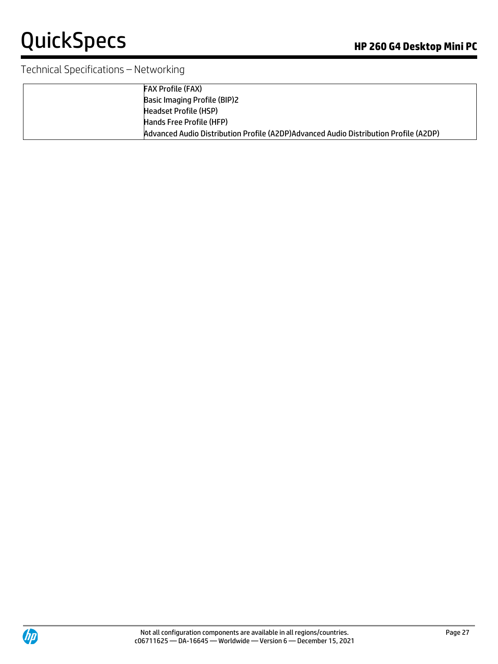| <b>FAX Profile (FAX)</b>                                                             |
|--------------------------------------------------------------------------------------|
| <b>Basic Imaging Profile (BIP)2</b>                                                  |
| Headset Profile (HSP)                                                                |
| Hands Free Profile (HFP)                                                             |
| Advanced Audio Distribution Profile (A2DP)Advanced Audio Distribution Profile (A2DP) |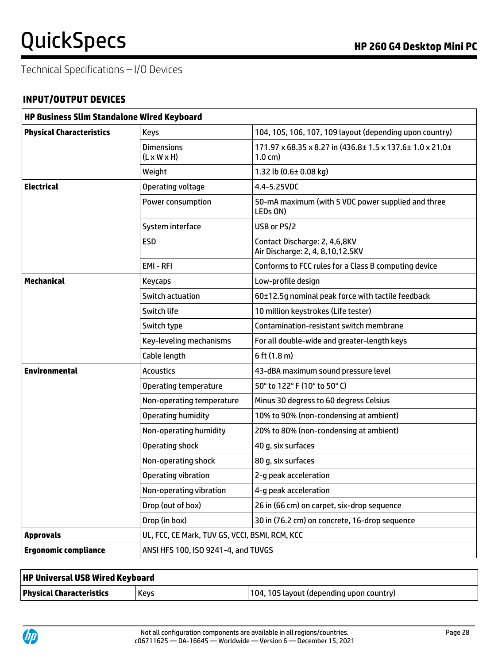Technical Specifications – I/O Devices

### **INPUT/OUTPUT DEVICES**

| <b>HP Business Slim Standalone Wired Keyboard</b> |                                                |                                                                                 |
|---------------------------------------------------|------------------------------------------------|---------------------------------------------------------------------------------|
| <b>Physical Characteristics</b>                   | <b>Keys</b>                                    | 104, 105, 106, 107, 109 layout (depending upon country)                         |
|                                                   | <b>Dimensions</b><br>$(L \times W \times H)$   | 171.97 x 68.35 x 8.27 in (436.8± 1.5 x 137.6± 1.0 x 21.0±<br>$1.0 \text{ cm}$ ) |
|                                                   | Weight                                         | 1.32 lb (0.6± 0.08 kg)                                                          |
| <b>Electrical</b>                                 | Operating voltage                              | 4.4-5.25VDC                                                                     |
|                                                   | Power consumption                              | 50-mA maximum (with 5 VDC power supplied and three<br>LEDs ON)                  |
|                                                   | System interface                               | USB or PS/2                                                                     |
|                                                   | <b>ESD</b>                                     | Contact Discharge: 2, 4,6,8KV<br>Air Discharge: 2, 4, 8, 10, 12.5KV             |
|                                                   | EMI-RFI                                        | Conforms to FCC rules for a Class B computing device                            |
| <b>Mechanical</b>                                 | Keycaps                                        | Low-profile design                                                              |
|                                                   | Switch actuation                               | 60±12.5q nominal peak force with tactile feedback                               |
|                                                   | Switch life                                    | 10 million keystrokes (Life tester)                                             |
|                                                   | Switch type                                    | Contamination-resistant switch membrane                                         |
|                                                   | Key-leveling mechanisms                        | For all double-wide and greater-length keys                                     |
|                                                   | Cable length                                   | $6$ ft $(1.8$ m)                                                                |
| <b>Environmental</b>                              | <b>Acoustics</b>                               | 43-dBA maximum sound pressure level                                             |
|                                                   | Operating temperature                          | 50° to 122° F (10° to 50° C)                                                    |
|                                                   | Non-operating temperature                      | Minus 30 degress to 60 degress Celsius                                          |
|                                                   | Operating humidity                             | 10% to 90% (non-condensing at ambient)                                          |
|                                                   | Non-operating humidity                         | 20% to 80% (non-condensing at ambient)                                          |
|                                                   | <b>Operating shock</b>                         | 40 g, six surfaces                                                              |
|                                                   | Non-operating shock                            | 80 g, six surfaces                                                              |
|                                                   | Operating vibration                            | 2-g peak acceleration                                                           |
|                                                   | Non-operating vibration                        | 4-g peak acceleration                                                           |
|                                                   | Drop (out of box)                              | 26 in (66 cm) on carpet, six-drop sequence                                      |
|                                                   | Drop (in box)                                  | 30 in (76.2 cm) on concrete, 16-drop sequence                                   |
| <b>Approvals</b>                                  | UL, FCC, CE Mark, TUV GS, VCCI, BSMI, RCM, KCC |                                                                                 |
| <b>Ergonomic compliance</b>                       | ANSI HFS 100, ISO 9241-4, and TUVGS            |                                                                                 |

| <b>HP Universal USB Wired Keyboard</b> |             |                                          |
|----------------------------------------|-------------|------------------------------------------|
| <b>Physical Characteristics</b>        | <b>Kevs</b> | 104, 105 layout (depending upon country) |

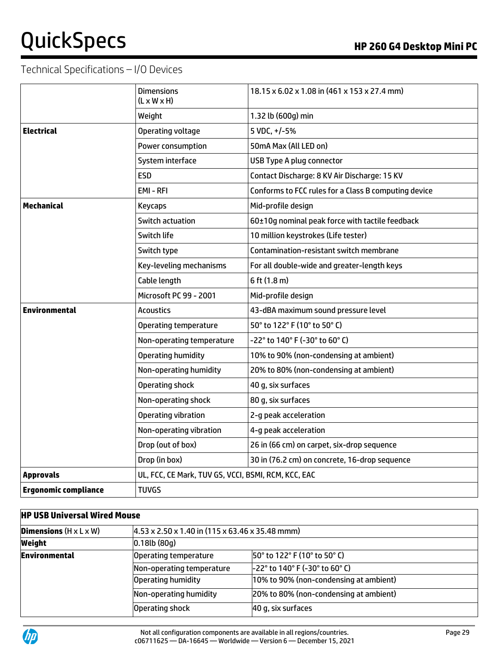# Technical Specifications – I/O Devices

|                             | <b>Dimensions</b><br>$(L \times W \times H)$        | 18.15 x 6.02 x 1.08 in (461 x 153 x 27.4 mm)         |
|-----------------------------|-----------------------------------------------------|------------------------------------------------------|
|                             | Weight                                              | 1.32 lb (600g) min                                   |
| <b>Electrical</b>           | Operating voltage                                   | 5 VDC, +/-5%                                         |
|                             | Power consumption                                   | 50mA Max (All LED on)                                |
|                             | System interface                                    | USB Type A plug connector                            |
|                             | <b>ESD</b>                                          | Contact Discharge: 8 KV Air Discharge: 15 KV         |
|                             | EMI-RFI                                             | Conforms to FCC rules for a Class B computing device |
| <b>Mechanical</b>           | <b>Keycaps</b>                                      | Mid-profile design                                   |
|                             | Switch actuation                                    | 60±10g nominal peak force with tactile feedback      |
|                             | Switch life                                         | 10 million keystrokes (Life tester)                  |
|                             | Switch type                                         | Contamination-resistant switch membrane              |
|                             | Key-leveling mechanisms                             | For all double-wide and greater-length keys          |
|                             | Cable length                                        | 6 ft (1.8 m)                                         |
|                             | Microsoft PC 99 - 2001                              | Mid-profile design                                   |
| <b>Environmental</b>        | <b>Acoustics</b>                                    | 43-dBA maximum sound pressure level                  |
|                             | <b>Operating temperature</b>                        | 50° to 122° F (10° to 50° C)                         |
|                             | Non-operating temperature                           | -22° to 140° F (-30° to 60° C)                       |
|                             | <b>Operating humidity</b>                           | 10% to 90% (non-condensing at ambient)               |
|                             | Non-operating humidity                              | 20% to 80% (non-condensing at ambient)               |
|                             | Operating shock                                     | 40 g, six surfaces                                   |
|                             | Non-operating shock                                 | 80 g, six surfaces                                   |
|                             | <b>Operating vibration</b>                          | 2-g peak acceleration                                |
|                             | Non-operating vibration                             | 4-g peak acceleration                                |
|                             | Drop (out of box)                                   | 26 in (66 cm) on carpet, six-drop sequence           |
|                             | Drop (in box)                                       | 30 in (76.2 cm) on concrete, 16-drop sequence        |
| <b>Approvals</b>            | UL, FCC, CE Mark, TUV GS, VCCI, BSMI, RCM, KCC, EAC |                                                      |
| <b>Ergonomic compliance</b> | <b>TUVGS</b>                                        |                                                      |

### **HP USB Universal Wired Mouse**

| <b>Dimensions</b> $(H \times L \times W)$ | $(4.53 \times 2.50 \times 1.40 \text{ in } (115 \times 63.46 \times 35.48 \text{ mm}))$ |                                         |
|-------------------------------------------|-----------------------------------------------------------------------------------------|-----------------------------------------|
| Weight                                    | $0.18$ lb $(80q)$                                                                       |                                         |
| <b>Environmental</b>                      | Operating temperature                                                                   | 50° to 122° F (10° to 50° C)            |
|                                           | Non-operating temperature                                                               | $-22^{\circ}$ to 140° F (-30° to 60° C) |
|                                           | Operating humidity                                                                      | 10% to 90% (non-condensing at ambient)  |
|                                           | Non-operating humidity                                                                  | 20% to 80% (non-condensing at ambient)  |
|                                           | Operating shock                                                                         | 40 g, six surfaces                      |

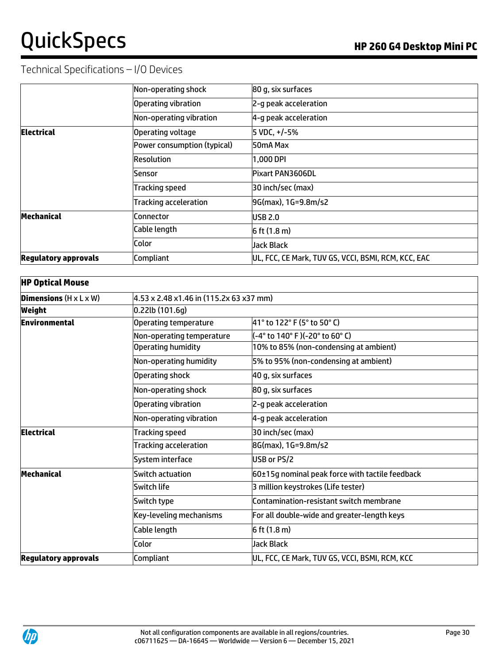# Technical Specifications – I/O Devices

|                             | Non-operating shock          | 80 g, six surfaces                                  |
|-----------------------------|------------------------------|-----------------------------------------------------|
|                             | Operating vibration          | 2-g peak acceleration                               |
|                             | Non-operating vibration      | 4-g peak acceleration                               |
| <b>Electrical</b>           | Operating voltage            | 5 VDC, +/-5%                                        |
|                             | Power consumption (typical)  | 50mA Max                                            |
|                             | Resolution                   | 1,000 DPI                                           |
|                             | Sensor                       | Pixart PAN3606DL                                    |
|                             | <b>Tracking speed</b>        | 30 inch/sec (max)                                   |
|                             | <b>Tracking acceleration</b> | 9G(max), 1G=9.8m/s2                                 |
| Mechanical                  | Connector                    | USB 2.0                                             |
|                             | Cable length                 | $6$ ft $(1.8 m)$                                    |
|                             | Color                        | Jack Black                                          |
| <b>Regulatory approvals</b> | Compliant                    | UL, FCC, CE Mark, TUV GS, VCCI, BSMI, RCM, KCC, EAC |

| <b>HP Optical Mouse</b>                   |                                         |                                                 |  |
|-------------------------------------------|-----------------------------------------|-------------------------------------------------|--|
| <b>Dimensions</b> $(H \times L \times W)$ | 4.53 x 2.48 x1.46 in (115.2x 63 x37 mm) |                                                 |  |
| Weight                                    | $0.22$ lb $(101.6q)$                    |                                                 |  |
| Environmental                             | <b>Operating temperature</b>            | 41° to 122° F (5° to 50° C)                     |  |
|                                           | Non-operating temperature               | (-4° to 140° F)(-20° to 60° C)                  |  |
|                                           | <b>Operating humidity</b>               | 10% to 85% (non-condensing at ambient)          |  |
|                                           | Non-operating humidity                  | 5% to 95% (non-condensing at ambient)           |  |
|                                           | Operating shock                         | 40 g, six surfaces                              |  |
|                                           | Non-operating shock                     | 80 g, six surfaces                              |  |
|                                           | Operating vibration                     | 2-g peak acceleration                           |  |
|                                           | Non-operating vibration                 | 4-g peak acceleration                           |  |
| <b>Electrical</b>                         | <b>Tracking speed</b>                   | 30 inch/sec (max)                               |  |
|                                           | <b>Tracking acceleration</b>            | 8G(max), 1G=9.8m/s2                             |  |
|                                           | System interface                        | USB or PS/2                                     |  |
| Mechanical                                | <b>Switch actuation</b>                 | 60±15g nominal peak force with tactile feedback |  |
|                                           | Switch life                             | 3 million keystrokes (Life tester)              |  |
|                                           | Switch type                             | Contamination-resistant switch membrane         |  |
|                                           | Key-leveling mechanisms                 | For all double-wide and greater-length keys     |  |
|                                           | Cable length                            | $6$ ft (1.8 m)                                  |  |
|                                           | Color                                   | Jack Black                                      |  |
| <b>Regulatory approvals</b>               | Compliant                               | UL, FCC, CE Mark, TUV GS, VCCI, BSMI, RCM, KCC  |  |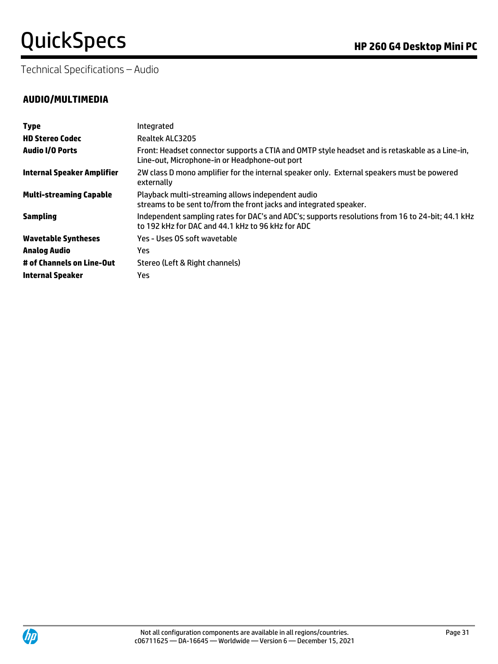Technical Specifications – Audio

| <b>Type</b>                       | Integrated                                                                                                                                            |
|-----------------------------------|-------------------------------------------------------------------------------------------------------------------------------------------------------|
| <b>HD Stereo Codec</b>            | Realtek ALC3205                                                                                                                                       |
| <b>Audio I/O Ports</b>            | Front: Headset connector supports a CTIA and OMTP style headset and is retaskable as a Line-in,<br>Line-out, Microphone-in or Headphone-out port      |
| <b>Internal Speaker Amplifier</b> | 2W class D mono amplifier for the internal speaker only. External speakers must be powered<br>externally                                              |
| <b>Multi-streaming Capable</b>    | Playback multi-streaming allows independent audio<br>streams to be sent to/from the front jacks and integrated speaker.                               |
| <b>Sampling</b>                   | Independent sampling rates for DAC's and ADC's; supports resolutions from 16 to 24-bit; 44.1 kHz<br>to 192 kHz for DAC and 44.1 kHz to 96 kHz for ADC |
| <b>Wavetable Syntheses</b>        | Yes - Uses OS soft wavetable                                                                                                                          |
| Analog Audio                      | Yes                                                                                                                                                   |
| # of Channels on Line-Out         | Stereo (Left & Right channels)                                                                                                                        |
| <b>Internal Speaker</b>           | Yes                                                                                                                                                   |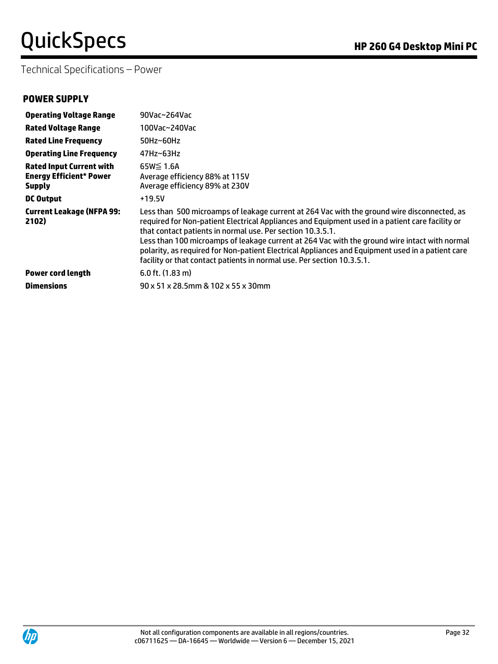Technical Specifications – Power

### **POWER SUPPLY**

| <b>Operating Voltage Range</b>                                                     | 90Vac~264Vac                                                                                                                                                                                                                                                                                                                                                                                                                                                                                                                                |
|------------------------------------------------------------------------------------|---------------------------------------------------------------------------------------------------------------------------------------------------------------------------------------------------------------------------------------------------------------------------------------------------------------------------------------------------------------------------------------------------------------------------------------------------------------------------------------------------------------------------------------------|
| <b>Rated Voltage Range</b>                                                         | 100Vac~240Vac                                                                                                                                                                                                                                                                                                                                                                                                                                                                                                                               |
| <b>Rated Line Frequency</b>                                                        | $50$ Hz~60Hz                                                                                                                                                                                                                                                                                                                                                                                                                                                                                                                                |
| <b>Operating Line Frequency</b>                                                    | $47$ Hz~63Hz                                                                                                                                                                                                                                                                                                                                                                                                                                                                                                                                |
| <b>Rated Input Current with</b><br><b>Energy Efficient* Power</b><br><b>Supply</b> | $65W \leq 1.6A$<br>Average efficiency 88% at 115V<br>Average efficiency 89% at 230V                                                                                                                                                                                                                                                                                                                                                                                                                                                         |
| <b>DC Output</b>                                                                   | $+19.5V$                                                                                                                                                                                                                                                                                                                                                                                                                                                                                                                                    |
| <b>Current Leakage (NFPA 99:</b><br>2102)                                          | Less than 500 microamps of leakage current at 264 Vac with the ground wire disconnected, as<br>required for Non-patient Electrical Appliances and Equipment used in a patient care facility or<br>that contact patients in normal use. Per section 10.3.5.1.<br>Less than 100 microamps of leakage current at 264 Vac with the ground wire intact with normal<br>polarity, as required for Non-patient Electrical Appliances and Equipment used in a patient care<br>facility or that contact patients in normal use. Per section 10.3.5.1. |
| <b>Power cord length</b>                                                           | $6.0$ ft. $(1.83 \text{ m})$                                                                                                                                                                                                                                                                                                                                                                                                                                                                                                                |
| <b>Dimensions</b>                                                                  | 90 x 51 x 28.5mm & 102 x 55 x 30mm                                                                                                                                                                                                                                                                                                                                                                                                                                                                                                          |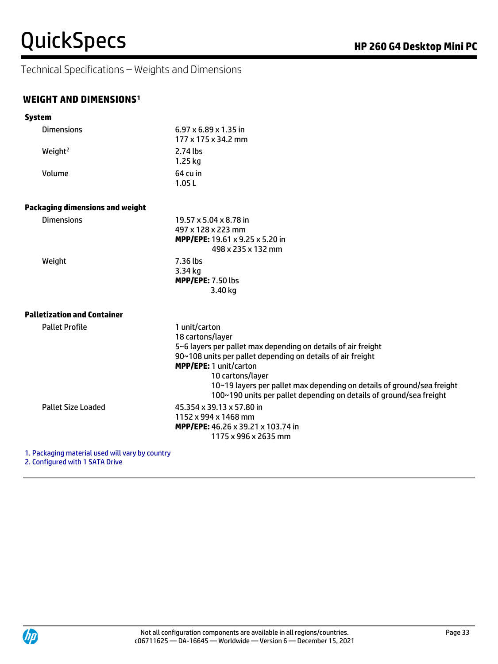Technical Specifications – Weights and Dimensions

### **WEIGHT AND DIMENSIONS<sup>1</sup>**

| <b>System</b>                          |                                                                                                                                                                                                                                                                                                                                                                  |  |
|----------------------------------------|------------------------------------------------------------------------------------------------------------------------------------------------------------------------------------------------------------------------------------------------------------------------------------------------------------------------------------------------------------------|--|
| <b>Dimensions</b>                      | $6.97 \times 6.89 \times 1.35$ in<br>177 x 175 x 34.2 mm                                                                                                                                                                                                                                                                                                         |  |
| Weight <sup>2</sup>                    | $2.74$ lbs<br>$1.25$ kg                                                                                                                                                                                                                                                                                                                                          |  |
| Volume                                 | $64 \mathrm{cu}$ in<br>1.05L                                                                                                                                                                                                                                                                                                                                     |  |
| <b>Packaging dimensions and weight</b> |                                                                                                                                                                                                                                                                                                                                                                  |  |
| <b>Dimensions</b>                      | 19.57 x 5.04 x 8.78 in<br>497 x 128 x 223 mm<br>MPP/EPE: 19.61 x 9.25 x 5.20 in<br>498 x 235 x 132 mm                                                                                                                                                                                                                                                            |  |
| Weight                                 | 7.36 lbs<br>3.34 kg<br><b>MPP/EPE: 7.50 lbs</b><br>3.40 kg                                                                                                                                                                                                                                                                                                       |  |
| <b>Palletization and Container</b>     |                                                                                                                                                                                                                                                                                                                                                                  |  |
| <b>Pallet Profile</b>                  | 1 unit/carton<br>18 cartons/layer<br>5~6 layers per pallet max depending on details of air freight<br>90~108 units per pallet depending on details of air freight<br>MPP/EPE: 1 unit/carton<br>10 cartons/layer<br>10~19 layers per pallet max depending on details of ground/sea freight<br>100~190 units per pallet depending on details of ground/sea freight |  |
| <b>Pallet Size Loaded</b>              | 45.354 x 39.13 x 57.80 in<br>1152 x 994 x 1468 mm<br>MPP/EPE: 46.26 x 39.21 x 103.74 in<br>1175 x 996 x 2635 mm                                                                                                                                                                                                                                                  |  |

1. Packaging material used will vary by country

2. Configured with 1 SATA Drive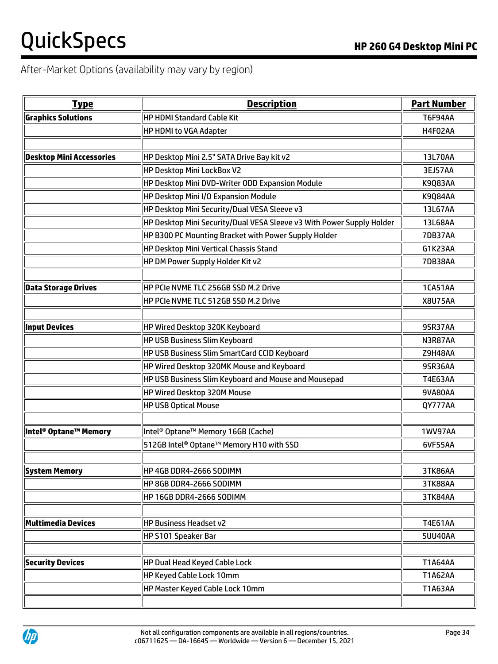# After-Market Options (availability may vary by region)

| <b>Type</b>                       | <b>Description</b>                                                    | <b>Part Number</b> |
|-----------------------------------|-----------------------------------------------------------------------|--------------------|
| <b>Graphics Solutions</b>         | HP HDMI Standard Cable Kit                                            | <b>T6F94AA</b>     |
|                                   | HP HDMI to VGA Adapter                                                | H4F02AA            |
|                                   |                                                                       |                    |
| <b>Desktop Mini Accessories</b>   | HP Desktop Mini 2.5" SATA Drive Bay kit v2                            | 13L70AA            |
|                                   | HP Desktop Mini LockBox V2                                            | 3EJ57AA            |
|                                   | HP Desktop Mini DVD-Writer ODD Expansion Module                       | <b>K9Q83AA</b>     |
|                                   | HP Desktop Mini I/O Expansion Module                                  | <b>K9Q84AA</b>     |
|                                   | HP Desktop Mini Security/Dual VESA Sleeve v3                          | 13L67AA            |
|                                   | HP Desktop Mini Security/Dual VESA Sleeve v3 With Power Supply Holder | 13L68AA            |
|                                   | HP B300 PC Mounting Bracket with Power Supply Holder                  | <b>7DB37AA</b>     |
|                                   | HP Desktop Mini Vertical Chassis Stand                                | G1K23AA            |
|                                   | HP DM Power Supply Holder Kit v2                                      | <b>7DB38AA</b>     |
|                                   |                                                                       |                    |
| <b>Data Storage Drives</b>        | HP PCIe NVME TLC 256GB SSD M.2 Drive                                  | 1CA51AA            |
|                                   | HP PCIe NVME TLC 512GB SSD M.2 Drive                                  | <b>X8U75AA</b>     |
| <b>Input Devices</b>              | HP Wired Desktop 320K Keyboard                                        | 9SR37AA            |
|                                   | HP USB Business Slim Keyboard                                         | N3R87AA            |
|                                   | HP USB Business Slim SmartCard CCID Keyboard                          | Z9H48AA            |
|                                   | HP Wired Desktop 320MK Mouse and Keyboard                             | 9SR36AA            |
|                                   | HP USB Business Slim Keyboard and Mouse and Mousepad                  | <b>T4E63AA</b>     |
|                                   | HP Wired Desktop 320M Mouse                                           | 9VA80AA            |
|                                   | <b>HP USB Optical Mouse</b>                                           | QY777AA            |
|                                   |                                                                       |                    |
| Intel <sup>®</sup> Optane™ Memory | ∥Intel® Optane™ Memory 16GB (Cache)                                   | <b>1WV97AA</b>     |
|                                   | 512GB Intel® Optane™ Memory H10 with SSD                              | 6VF55AA            |
|                                   |                                                                       |                    |
| System Memory                     | HP 4GB DDR4-2666 SODIMM                                               | 3TK86AA            |
|                                   | HP 8GB DDR4-2666 SODIMM                                               | 3TK88AA            |
|                                   | HP 16GB DDR4-2666 SODIMM                                              | 3TK84AA            |
|                                   |                                                                       |                    |
| <b>Multimedia Devices</b>         | HP Business Headset v2                                                | <b>T4E61AA</b>     |
|                                   | HP S101 Speaker Bar                                                   | 5UU40AA            |
|                                   |                                                                       |                    |
| <b>Security Devices</b>           | HP Dual Head Keyed Cable Lock                                         | T1A64AA            |
|                                   | HP Keyed Cable Lock 10mm                                              | <b>T1A62AA</b>     |
|                                   | HP Master Keyed Cable Lock 10mm                                       | T1A63AA            |
|                                   |                                                                       |                    |

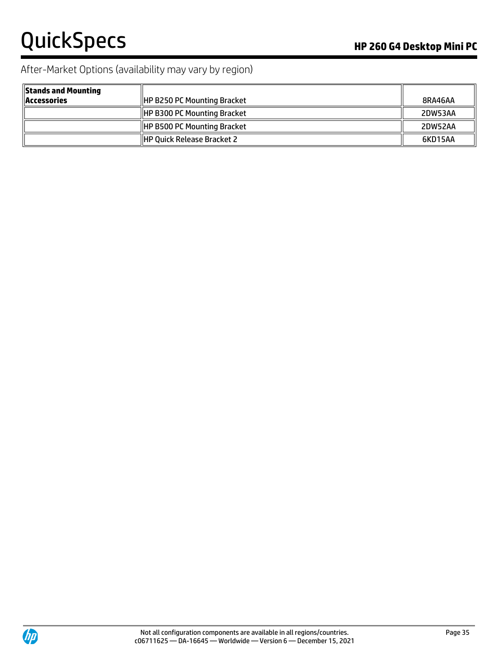# After-Market Options (availability may vary by region)

| <b>Stands and Mounting</b><br><b>Accessories</b> | <b>HP B250 PC Mounting Bracket</b> | 8RA46AA |
|--------------------------------------------------|------------------------------------|---------|
|                                                  | <b>HP B300 PC Mounting Bracket</b> | 2DW53AA |
|                                                  | <b>HP B500 PC Mounting Bracket</b> | 2DW52AA |
|                                                  | <b>HP Quick Release Bracket 2</b>  | 6KD15AA |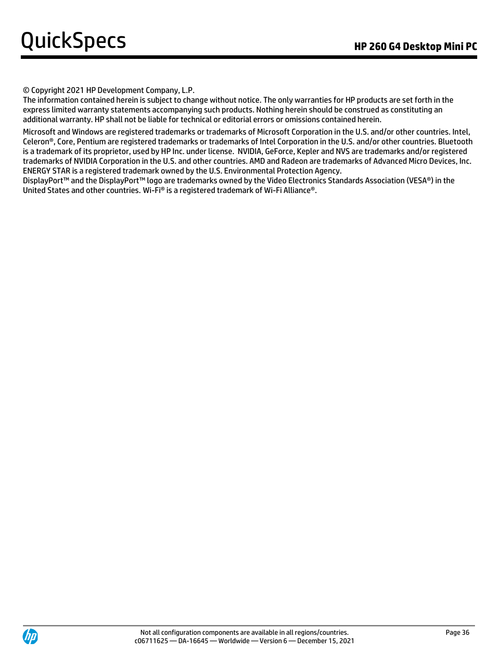© Copyright 2021 HP Development Company, L.P.

The information contained herein is subject to change without notice. The only warranties for HP products are set forth in the express limited warranty statements accompanying such products. Nothing herein should be construed as constituting an additional warranty. HP shall not be liable for technical or editorial errors or omissions contained herein.

Microsoft and Windows are registered trademarks or trademarks of Microsoft Corporation in the U.S. and/or other countries. Intel, Celeron®, Core, Pentium are registered trademarks or trademarks of Intel Corporation in the U.S. and/or other countries. Bluetooth is a trademark of its proprietor, used by HP Inc. under license. NVIDIA, GeForce, Kepler and NVS are trademarks and/or registered trademarks of NVIDIA Corporation in the U.S. and other countries. AMD and Radeon are trademarks of Advanced Micro Devices, Inc. ENERGY STAR is a registered trademark owned by the U.S. Environmental Protection Agency.

DisplayPort™ and the DisplayPort™ logo are trademarks owned by the Video Electronics Standards Association (VESA®) in the United States and other countries. Wi-Fi® is a registered trademark of Wi-Fi Alliance®.